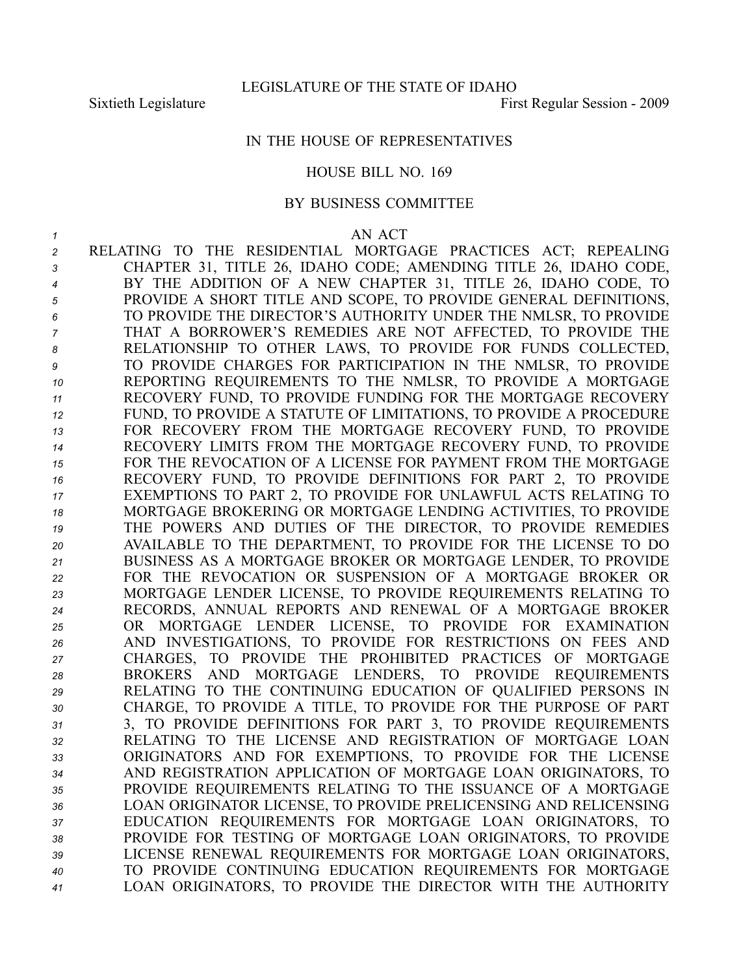## IN THE HOUSE OF REPRESENTATIVES

### HOUSE BILL NO. 169

### BY BUSINESS COMMITTEE

#### *1* AN ACT

 RELATING TO THE RESIDENTIAL MORTGAGE PRACTICES ACT; REPEALING CHAPTER 31, TITLE 26, IDAHO CODE; AMENDING TITLE 26, IDAHO CODE, BY THE ADDITION OF A NEW CHAPTER 31, TITLE 26, IDAHO CODE, TO PROVIDE A SHORT TITLE AND SCOPE, TO PROVIDE GENERAL DEFINITIONS, TO PROVIDE THE DIRECTOR'S AUTHORITY UNDER THE NMLSR, TO PROVIDE THAT A BORROWER'S REMEDIES ARE NOT AFFECTED, TO PROVIDE THE RELATIONSHIP TO OTHER LAWS, TO PROVIDE FOR FUNDS COLLECTED, TO PROVIDE CHARGES FOR PARTICIPATION IN THE NMLSR, TO PROVIDE REPORTING REQUIREMENTS TO THE NMLSR, TO PROVIDE A MORTGAGE RECOVERY FUND, TO PROVIDE FUNDING FOR THE MORTGAGE RECOVERY FUND, TO PROVIDE A STATUTE OF LIMITATIONS, TO PROVIDE A PROCEDURE FOR RECOVERY FROM THE MORTGAGE RECOVERY FUND, TO PROVIDE RECOVERY LIMITS FROM THE MORTGAGE RECOVERY FUND, TO PROVIDE FOR THE REVOCATION OF A LICENSE FOR PAYMENT FROM THE MORTGAGE RECOVERY FUND, TO PROVIDE DEFINITIONS FOR PART 2, TO PROVIDE EXEMPTIONS TO PART 2, TO PROVIDE FOR UNLAWFUL ACTS RELATING TO MORTGAGE BROKERING OR MORTGAGE LENDING ACTIVITIES, TO PROVIDE THE POWERS AND DUTIES OF THE DIRECTOR, TO PROVIDE REMEDIES AVAILABLE TO THE DEPARTMENT, TO PROVIDE FOR THE LICENSE TO DO BUSINESS AS A MORTGAGE BROKER OR MORTGAGE LENDER, TO PROVIDE FOR THE REVOCATION OR SUSPENSION OF A MORTGAGE BROKER OR MORTGAGE LENDER LICENSE, TO PROVIDE REQUIREMENTS RELATING TO RECORDS, ANNUAL REPORTS AND RENEWAL OF A MORTGAGE BROKER OR MORTGAGE LENDER LICENSE, TO PROVIDE FOR EXAMINATION AND INVESTIGATIONS, TO PROVIDE FOR RESTRICTIONS ON FEES AND CHARGES, TO PROVIDE THE PROHIBITED PRACTICES OF MORTGAGE BROKERS AND MORTGAGE LENDERS, TO PROVIDE REQUIREMENTS RELATING TO THE CONTINUING EDUCATION OF QUALIFIED PERSONS IN CHARGE, TO PROVIDE A TITLE, TO PROVIDE FOR THE PURPOSE OF PART 3, TO PROVIDE DEFINITIONS FOR PART 3, TO PROVIDE REQUIREMENTS RELATING TO THE LICENSE AND REGISTRATION OF MORTGAGE LOAN ORIGINATORS AND FOR EXEMPTIONS, TO PROVIDE FOR THE LICENSE AND REGISTRATION APPLICATION OF MORTGAGE LOAN ORIGINATORS, TO PROVIDE REQUIREMENTS RELATING TO THE ISSUANCE OF A MORTGAGE LOAN ORIGINATOR LICENSE, TO PROVIDE PRELICENSING AND RELICENSING EDUCATION REQUIREMENTS FOR MORTGAGE LOAN ORIGINATORS, TO PROVIDE FOR TESTING OF MORTGAGE LOAN ORIGINATORS, TO PROVIDE LICENSE RENEWAL REQUIREMENTS FOR MORTGAGE LOAN ORIGINATORS, TO PROVIDE CONTINUING EDUCATION REQUIREMENTS FOR MORTGAGE LOAN ORIGINATORS, TO PROVIDE THE DIRECTOR WITH THE AUTHORITY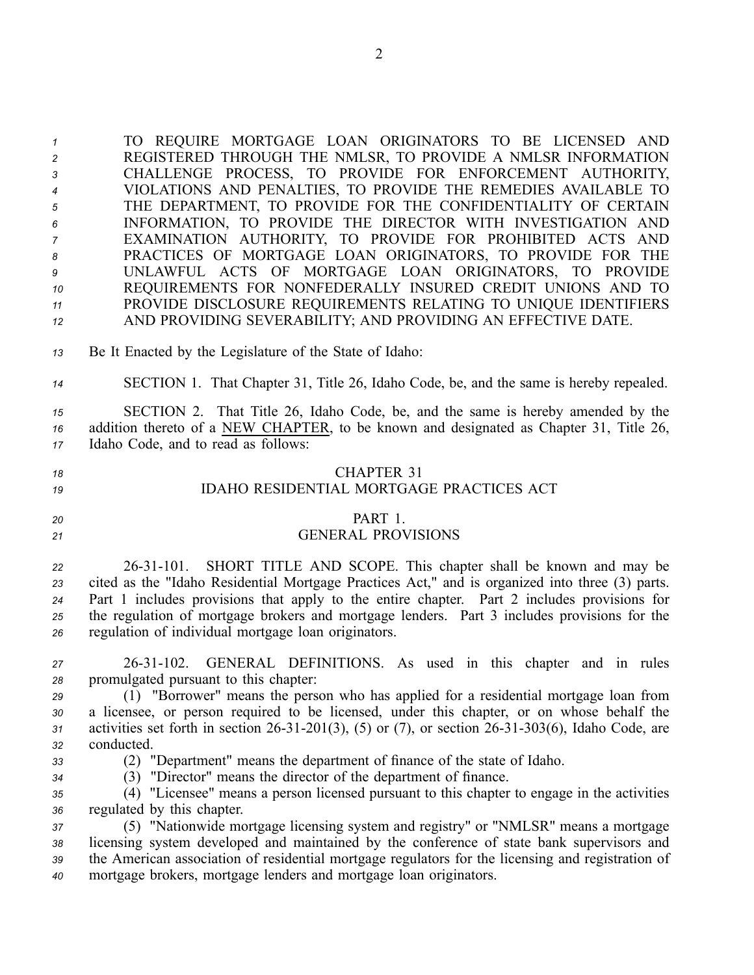TO REQUIRE MORTGAGE LOAN ORIGINATORS TO BE LICENSED AND REGISTERED THROUGH THE NMLSR, TO PROVIDE A NMLSR INFORMATION CHALLENGE PROCESS, TO PROVIDE FOR ENFORCEMENT AUTHORITY, VIOLATIONS AND PENALTIES, TO PROVIDE THE REMEDIES AVAILABLE TO THE DEPARTMENT, TO PROVIDE FOR THE CONFIDENTIALITY OF CERTAIN INFORMATION, TO PROVIDE THE DIRECTOR WITH INVESTIGATION AND EXAMINATION AUTHORITY, TO PROVIDE FOR PROHIBITED ACTS AND PRACTICES OF MORTGAGE LOAN ORIGINATORS, TO PROVIDE FOR THE UNLAWFUL ACTS OF MORTGAGE LOAN ORIGINATORS, TO PROVIDE REQUIREMENTS FOR NONFEDERALLY INSURED CREDIT UNIONS AND TO PROVIDE DISCLOSURE REQUIREMENTS RELATING TO UNIQUE IDENTIFIERS AND PROVIDING SEVERABILITY; AND PROVIDING AN EFFECTIVE DATE.

- *<sup>13</sup>* Be It Enacted by the Legislature of the State of Idaho:
- *<sup>14</sup>* SECTION 1. That Chapter 31, Title 26, Idaho Code, be, and the same is hereby repealed.

*<sup>15</sup>* SECTION 2. That Title 26, Idaho Code, be, and the same is hereby amended by the *<sup>16</sup>* addition thereto of <sup>a</sup> NEW CHAPTER, to be known and designated as Chapter 31, Title 26, *<sup>17</sup>* Idaho Code, and to read as follows:

# *18* CHAPTER 31 *19* IDAHO RESIDENTIAL MORTGAGE PRACTICES ACT

### *20* PART 1.

## *<sup>21</sup>* GENERAL PROVISIONS

 2631101. SHORT TITLE AND SCOPE. This chapter shall be known and may be cited as the "Idaho Residential Mortgage Practices Act," and is organized into three (3) parts. Part 1 includes provisions that apply to the entire chapter. Part 2 includes provisions for the regulation of mortgage brokers and mortgage lenders. Part 3 includes provisions for the regulation of individual mortgage loan originators.

- *<sup>27</sup>* 2631102. GENERAL DEFINITIONS. As used in this chapter and in rules *<sup>28</sup>* promulgated pursuan<sup>t</sup> to this chapter:
- *<sup>29</sup>* (1) "Borrower" means the person who has applied for <sup>a</sup> residential mortgage loan from *<sup>30</sup>* <sup>a</sup> licensee, or person required to be licensed, under this chapter, or on whose behalf the *31* activities set forth in section 26-31-201(3), (5) or (7), or section 26-31-303(6), Idaho Code, are *<sup>32</sup>* conducted.
- *<sup>33</sup>* (2) "Department" means the department of finance of the state of Idaho.
- *<sup>34</sup>* (3) "Director" means the director of the department of finance.

*<sup>35</sup>* (4) "Licensee" means <sup>a</sup> person licensed pursuan<sup>t</sup> to this chapter to engage in the activities *<sup>36</sup>* regulated by this chapter.

 (5) "Nationwide mortgage licensing system and registry" or "NMLSR" means <sup>a</sup> mortgage licensing system developed and maintained by the conference of state bank supervisors and the American association of residential mortgage regulators for the licensing and registration of mortgage brokers, mortgage lenders and mortgage loan originators.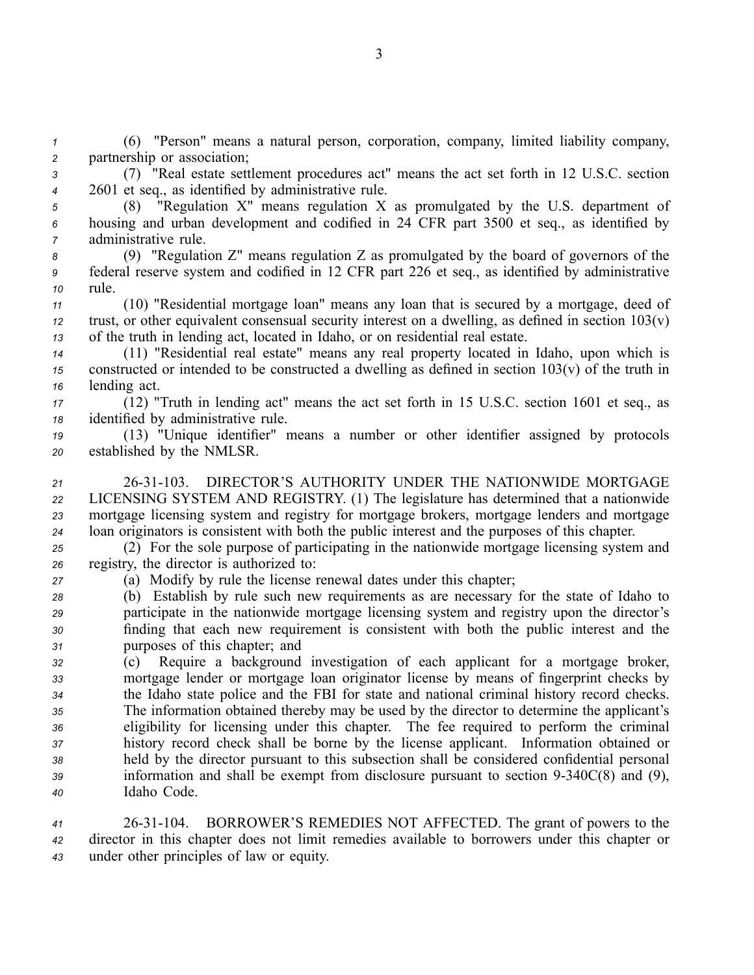*<sup>1</sup>* (6) "Person" means <sup>a</sup> natural person, corporation, company, limited liability company, *<sup>2</sup>* partnership or association;

- *<sup>3</sup>* (7) "Real estate settlement procedures act" means the act set forth in 12 U.S.C. section *<sup>4</sup>* 2601 et seq., as identified by administrative rule.
- 

*<sup>5</sup>* (8) "Regulation X" means regulation X as promulgated by the U.S. department of *<sup>6</sup>* housing and urban development and codified in 24 CFR par<sup>t</sup> 3500 et seq., as identified by *<sup>7</sup>* administrative rule.

*<sup>8</sup>* (9) "Regulation Z" means regulation Z as promulgated by the board of governors of the *<sup>9</sup>* federal reserve system and codified in 12 CFR par<sup>t</sup> 226 et seq., as identified by administrative *<sup>10</sup>* rule.

*<sup>11</sup>* (10) "Residential mortgage loan" means any loan that is secured by <sup>a</sup> mortgage, deed of *<sup>12</sup>* trust, or other equivalent consensual security interest on <sup>a</sup> dwelling, as defined in section 103(v) *<sup>13</sup>* of the truth in lending act, located in Idaho, or on residential real estate.

*<sup>14</sup>* (11) "Residential real estate" means any real property located in Idaho, upon which is *<sup>15</sup>* constructed or intended to be constructed <sup>a</sup> dwelling as defined in section 103(v) of the truth in *<sup>16</sup>* lending act.

*<sup>17</sup>* (12) "Truth in lending act" means the act set forth in 15 U.S.C. section 1601 et seq., as *<sup>18</sup>* identified by administrative rule.

*<sup>19</sup>* (13) "Unique identifier" means <sup>a</sup> number or other identifier assigned by protocols *<sup>20</sup>* established by the NMLSR.

 2631103. DIRECTOR'S AUTHORITY UNDER THE NATIONWIDE MORTGAGE LICENSING SYSTEM AND REGISTRY. (1) The legislature has determined that <sup>a</sup> nationwide mortgage licensing system and registry for mortgage brokers, mortgage lenders and mortgage loan originators is consistent with both the public interest and the purposes of this chapter.

*<sup>25</sup>* (2) For the sole purpose of participating in the nationwide mortgage licensing system and *<sup>26</sup>* registry, the director is authorized to:

*<sup>27</sup>* (a) Modify by rule the license renewal dates under this chapter;

 (b) Establish by rule such new requirements as are necessary for the state of Idaho to participate in the nationwide mortgage licensing system and registry upon the director's finding that each new requirement is consistent with both the public interest and the purposes of this chapter; and

 (c) Require <sup>a</sup> background investigation of each applicant for <sup>a</sup> mortgage broker, mortgage lender or mortgage loan originator license by means of fingerprint checks by the Idaho state police and the FBI for state and national criminal history record checks. The information obtained thereby may be used by the director to determine the applicant's eligibility for licensing under this chapter. The fee required to perform the criminal history record check shall be borne by the license applicant. Information obtained or held by the director pursuan<sup>t</sup> to this subsection shall be considered confidential personal information and shall be exemp<sup>t</sup> from disclosure pursuan<sup>t</sup> to section 9340C(8) and (9), Idaho Code.

*<sup>41</sup>* 2631104. BORROWER'S REMEDIES NOT AFFECTED. The gran<sup>t</sup> of powers to the *<sup>42</sup>* director in this chapter does not limit remedies available to borrowers under this chapter or *<sup>43</sup>* under other principles of law or equity.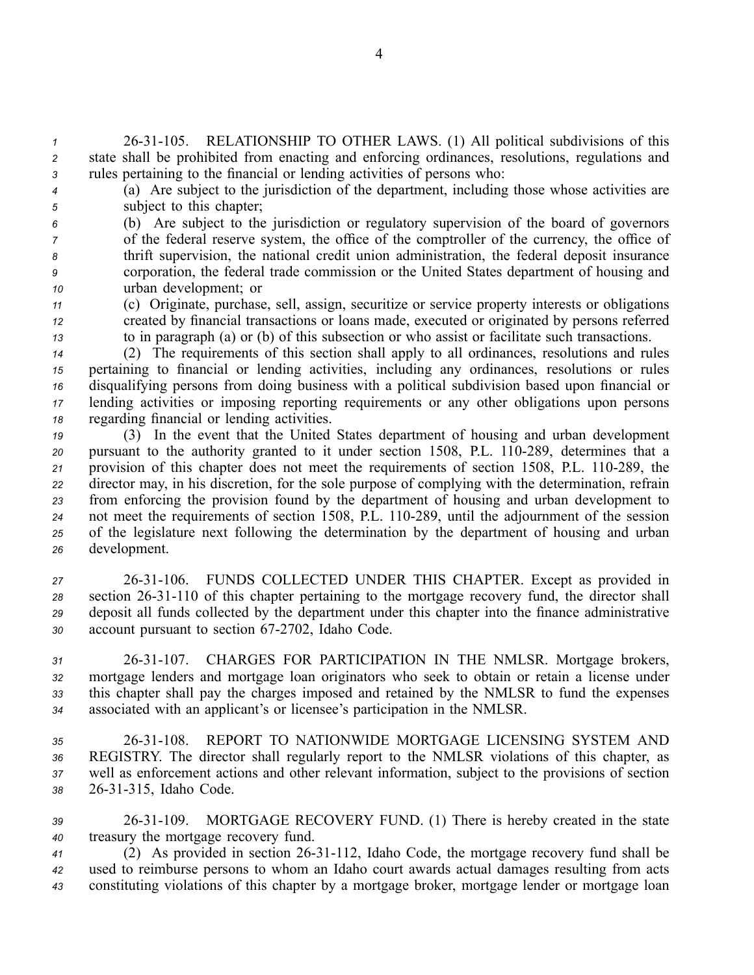*<sup>1</sup>* 2631105. RELATIONSHIP TO OTHER LAWS. (1) All political subdivisions of this *<sup>2</sup>* state shall be prohibited from enacting and enforcing ordinances, resolutions, regulations and *<sup>3</sup>* rules pertaining to the financial or lending activities of persons who:

*<sup>4</sup>* (a) Are subject to the jurisdiction of the department, including those whose activities are *<sup>5</sup>* subject to this chapter;

 (b) Are subject to the jurisdiction or regulatory supervision of the board of governors of the federal reserve system, the office of the comptroller of the currency, the office of thrift supervision, the national credit union administration, the federal deposit insurance corporation, the federal trade commission or the United States department of housing and urban development; or

*<sup>11</sup>* (c) Originate, purchase, sell, assign, securitize or service property interests or obligations *<sup>12</sup>* created by financial transactions or loans made, executed or originated by persons referred *<sup>13</sup>* to in paragraph (a) or (b) of this subsection or who assist or facilitate such transactions.

 (2) The requirements of this section shall apply to all ordinances, resolutions and rules pertaining to financial or lending activities, including any ordinances, resolutions or rules disqualifying persons from doing business with <sup>a</sup> political subdivision based upon financial or lending activities or imposing reporting requirements or any other obligations upon persons regarding financial or lending activities.

 (3) In the event that the United States department of housing and urban development 20 pursuant to the authority granted to it under section 1508, P.L. 110-289, determines that a 21 provision of this chapter does not meet the requirements of section 1508, P.L. 110-289, the director may, in his discretion, for the sole purpose of complying with the determination, refrain from enforcing the provision found by the department of housing and urban development to 24 not meet the requirements of section 1508, P.L. 110-289, until the adjournment of the session of the legislature next following the determination by the department of housing and urban development.

 2631106. FUNDS COLLECTED UNDER THIS CHAPTER. Except as provided in section 2631110 of this chapter pertaining to the mortgage recovery fund, the director shall deposit all funds collected by the department under this chapter into the finance administrative 30 account pursuant to section 67-2702, Idaho Code.

 2631107. CHARGES FOR PARTICIPATION IN THE NMLSR. Mortgage brokers, mortgage lenders and mortgage loan originators who seek to obtain or retain <sup>a</sup> license under this chapter shall pay the charges imposed and retained by the NMLSR to fund the expenses associated with an applicant's or licensee's participation in the NMLSR.

 2631108. REPORT TO NATIONWIDE MORTGAGE LICENSING SYSTEM AND REGISTRY. The director shall regularly repor<sup>t</sup> to the NMLSR violations of this chapter, as well as enforcement actions and other relevant information, subject to the provisions of section 2631315, Idaho Code.

*<sup>39</sup>* 2631109. MORTGAGE RECOVERY FUND. (1) There is hereby created in the state *<sup>40</sup>* treasury the mortgage recovery fund.

41 (2) As provided in section 26-31-112, Idaho Code, the mortgage recovery fund shall be *<sup>42</sup>* used to reimburse persons to whom an Idaho court awards actual damages resulting from acts *<sup>43</sup>* constituting violations of this chapter by <sup>a</sup> mortgage broker, mortgage lender or mortgage loan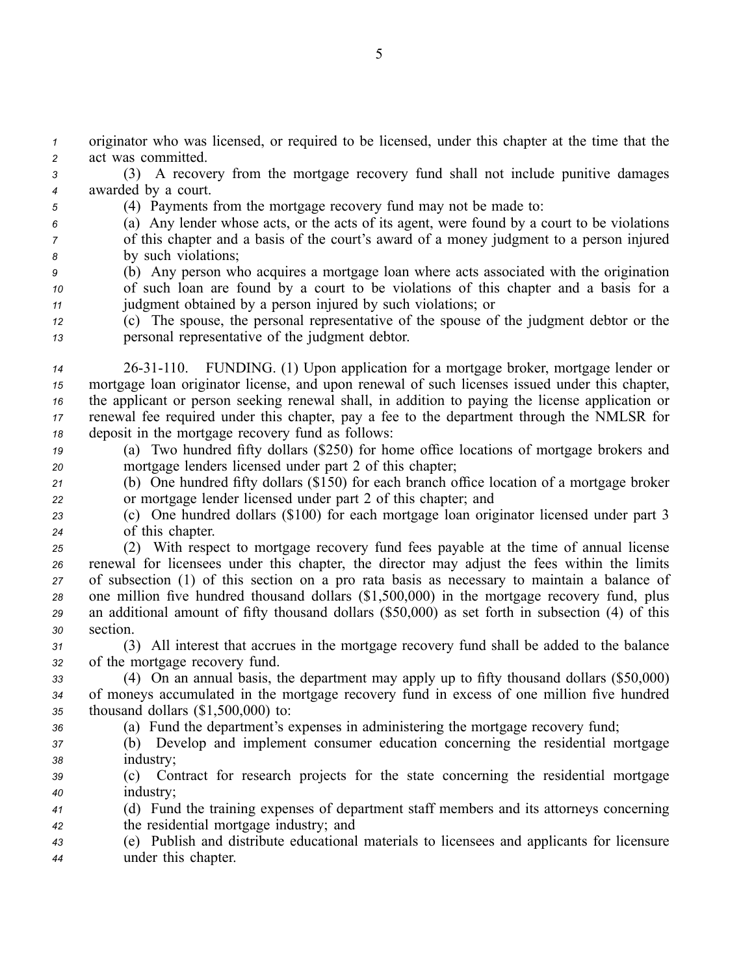*<sup>1</sup>* originator who was licensed, or required to be licensed, under this chapter at the time that the *<sup>2</sup>* act was committed.

*<sup>3</sup>* (3) A recovery from the mortgage recovery fund shall not include punitive damages *<sup>4</sup>* awarded by <sup>a</sup> court.

*<sup>5</sup>* (4) Payments from the mortgage recovery fund may not be made to:

*<sup>6</sup>* (a) Any lender whose acts, or the acts of its agent, were found by <sup>a</sup> court to be violations *<sup>7</sup>* of this chapter and <sup>a</sup> basis of the court's award of <sup>a</sup> money judgment to <sup>a</sup> person injured *<sup>8</sup>* by such violations;

- *<sup>9</sup>* (b) Any person who acquires <sup>a</sup> mortgage loan where acts associated with the origination *<sup>10</sup>* of such loan are found by <sup>a</sup> court to be violations of this chapter and <sup>a</sup> basis for <sup>a</sup> *<sup>11</sup>* judgment obtained by <sup>a</sup> person injured by such violations; or
- *<sup>12</sup>* (c) The spouse, the personal representative of the spouse of the judgment debtor or the *<sup>13</sup>* personal representative of the judgment debtor.
- *<sup>14</sup>* 2631110. FUNDING. (1) Upon application for <sup>a</sup> mortgage broker, mortgage lender or *<sup>15</sup>* mortgage loan originator license, and upon renewal of such licenses issued under this chapter, *<sup>16</sup>* the applicant or person seeking renewal shall, in addition to paying the license application or *<sup>17</sup>* renewal fee required under this chapter, pay <sup>a</sup> fee to the department through the NMLSR for *<sup>18</sup>* deposit in the mortgage recovery fund as follows:
- *<sup>19</sup>* (a) Two hundred fifty dollars (\$250) for home office locations of mortgage brokers and

*<sup>20</sup>* mortgage lenders licensed under par<sup>t</sup> 2 of this chapter;

- *<sup>21</sup>* (b) One hundred fifty dollars (\$150) for each branch office location of <sup>a</sup> mortgage broker *<sup>22</sup>* or mortgage lender licensed under par<sup>t</sup> 2 of this chapter; and
- *<sup>23</sup>* (c) One hundred dollars (\$100) for each mortgage loan originator licensed under par<sup>t</sup> 3 *<sup>24</sup>* of this chapter.

 (2) With respec<sup>t</sup> to mortgage recovery fund fees payable at the time of annual license renewal for licensees under this chapter, the director may adjust the fees within the limits of subsection (1) of this section on <sup>a</sup> pro rata basis as necessary to maintain <sup>a</sup> balance of one million five hundred thousand dollars (\$1,500,000) in the mortgage recovery fund, plus an additional amount of fifty thousand dollars (\$50,000) as set forth in subsection (4) of this *<sup>30</sup>* section.

*<sup>31</sup>* (3) All interest that accrues in the mortgage recovery fund shall be added to the balance *<sup>32</sup>* of the mortgage recovery fund.

*<sup>33</sup>* (4) On an annual basis, the department may apply up to fifty thousand dollars (\$50,000) *<sup>34</sup>* of moneys accumulated in the mortgage recovery fund in excess of one million five hundred *<sup>35</sup>* thousand dollars (\$1,500,000) to:

- *<sup>36</sup>* (a) Fund the department's expenses in administering the mortgage recovery fund;
- *<sup>37</sup>* (b) Develop and implement consumer education concerning the residential mortgage *<sup>38</sup>* industry;

*<sup>39</sup>* (c) Contract for research projects for the state concerning the residential mortgage *<sup>40</sup>* industry;

*<sup>41</sup>* (d) Fund the training expenses of department staff members and its attorneys concerning *<sup>42</sup>* the residential mortgage industry; and

*<sup>43</sup>* (e) Publish and distribute educational materials to licensees and applicants for licensure *<sup>44</sup>* under this chapter.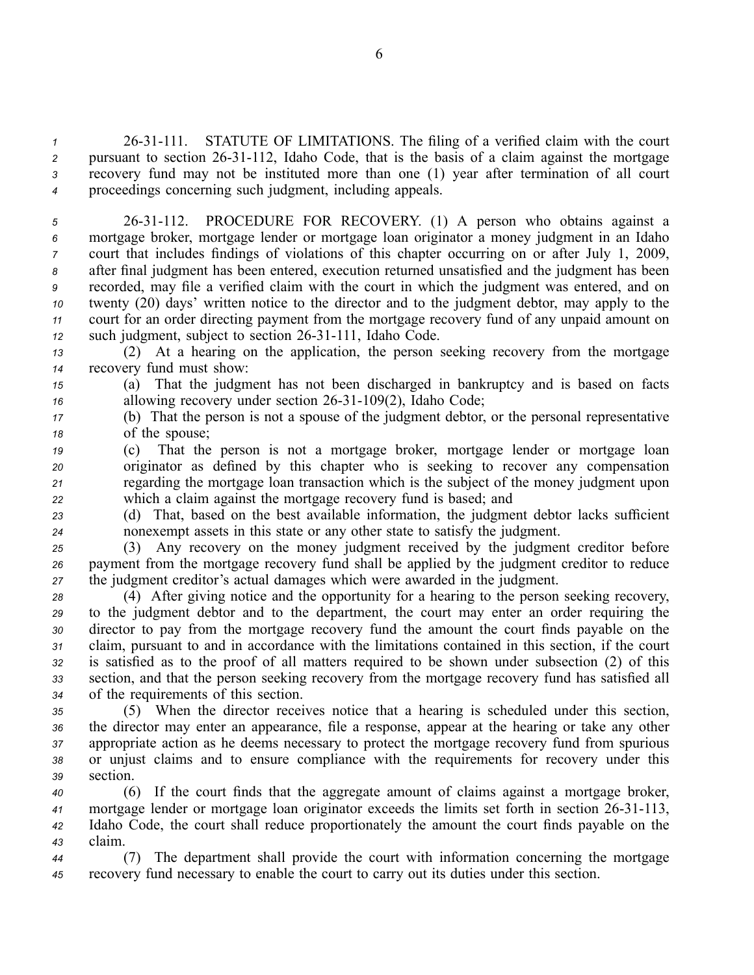<sup>1</sup> 26-31-111. STATUTE OF LIMITATIONS. The filing of a verified claim with the court 2 pursuant to section 26-31-112, Idaho Code, that is the basis of a claim against the mortgage *<sup>3</sup>* recovery fund may not be instituted more than one (1) year after termination of all court *<sup>4</sup>* proceedings concerning such judgment, including appeals.

 2631112. PROCEDURE FOR RECOVERY. (1) A person who obtains against <sup>a</sup> mortgage broker, mortgage lender or mortgage loan originator <sup>a</sup> money judgment in an Idaho court that includes findings of violations of this chapter occurring on or after July 1, 2009, after final judgment has been entered, execution returned unsatisfied and the judgment has been recorded, may file <sup>a</sup> verified claim with the court in which the judgment was entered, and on twenty (20) days' written notice to the director and to the judgment debtor, may apply to the court for an order directing paymen<sup>t</sup> from the mortgage recovery fund of any unpaid amount on 12 such judgment, subject to section 26-31-111, Idaho Code.

*<sup>13</sup>* (2) At <sup>a</sup> hearing on the application, the person seeking recovery from the mortgage *<sup>14</sup>* recovery fund must show:

*<sup>15</sup>* (a) That the judgment has not been discharged in bankruptcy and is based on facts *16* allowing recovery under section 26-31-109(2), Idaho Code;

*<sup>17</sup>* (b) That the person is not <sup>a</sup> spouse of the judgment debtor, or the personal representative *<sup>18</sup>* of the spouse;

 (c) That the person is not <sup>a</sup> mortgage broker, mortgage lender or mortgage loan originator as defined by this chapter who is seeking to recover any compensation regarding the mortgage loan transaction which is the subject of the money judgment upon which <sup>a</sup> claim against the mortgage recovery fund is based; and

*<sup>23</sup>* (d) That, based on the best available information, the judgment debtor lacks sufficient *<sup>24</sup>* nonexemp<sup>t</sup> assets in this state or any other state to satisfy the judgment.

*<sup>25</sup>* (3) Any recovery on the money judgment received by the judgment creditor before *<sup>26</sup>* paymen<sup>t</sup> from the mortgage recovery fund shall be applied by the judgment creditor to reduce *<sup>27</sup>* the judgment creditor's actual damages which were awarded in the judgment.

 (4) After giving notice and the opportunity for <sup>a</sup> hearing to the person seeking recovery, to the judgment debtor and to the department, the court may enter an order requiring the director to pay from the mortgage recovery fund the amount the court finds payable on the claim, pursuan<sup>t</sup> to and in accordance with the limitations contained in this section, if the court is satisfied as to the proof of all matters required to be shown under subsection (2) of this section, and that the person seeking recovery from the mortgage recovery fund has satisfied all of the requirements of this section.

 (5) When the director receives notice that <sup>a</sup> hearing is scheduled under this section, the director may enter an appearance, file <sup>a</sup> response, appear at the hearing or take any other appropriate action as he deems necessary to protect the mortgage recovery fund from spurious or unjust claims and to ensure compliance with the requirements for recovery under this *<sup>39</sup>* section.

 (6) If the court finds that the aggregate amount of claims against <sup>a</sup> mortgage broker, mortgage lender or mortgage loan originator exceeds the limits set forth in section 2631113, Idaho Code, the court shall reduce proportionately the amount the court finds payable on the *<sup>43</sup>* claim.

*<sup>44</sup>* (7) The department shall provide the court with information concerning the mortgage *<sup>45</sup>* recovery fund necessary to enable the court to carry out its duties under this section.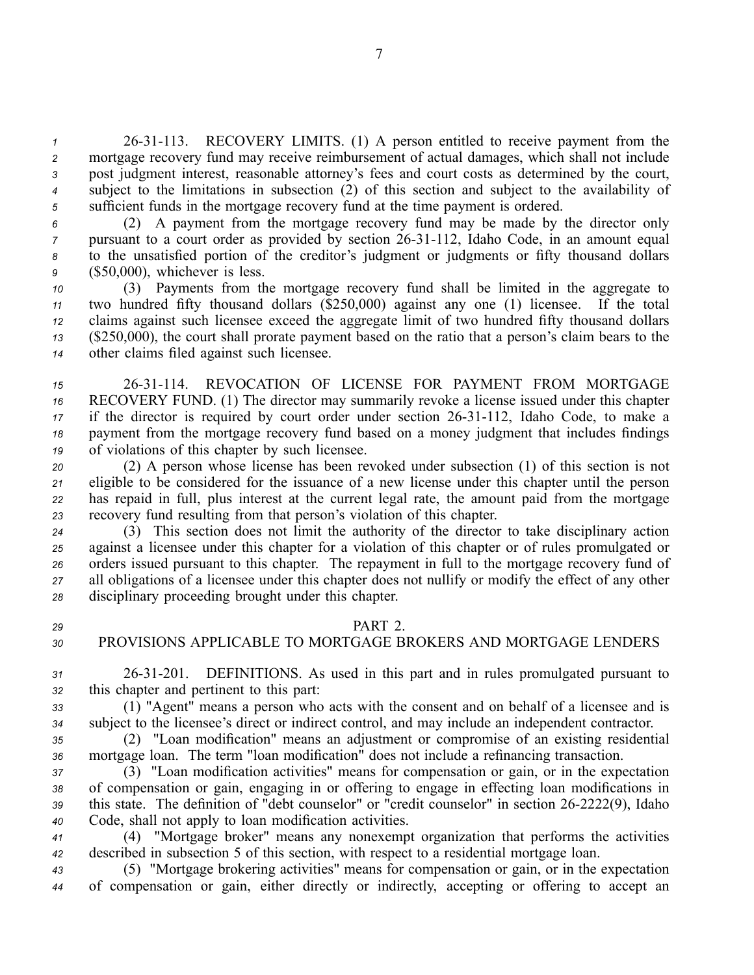2631113. RECOVERY LIMITS. (1) A person entitled to receive paymen<sup>t</sup> from the mortgage recovery fund may receive reimbursement of actual damages, which shall not include pos<sup>t</sup> judgment interest, reasonable attorney's fees and court costs as determined by the court, subject to the limitations in subsection (2) of this section and subject to the availability of sufficient funds in the mortgage recovery fund at the time paymen<sup>t</sup> is ordered.

 (2) A paymen<sup>t</sup> from the mortgage recovery fund may be made by the director only pursuant to a court order as provided by section 26-31-112, Idaho Code, in an amount equal to the unsatisfied portion of the creditor's judgment or judgments or fifty thousand dollars (\$50,000), whichever is less.

 (3) Payments from the mortgage recovery fund shall be limited in the aggregate to two hundred fifty thousand dollars (\$250,000) against any one (1) licensee. If the total claims against such licensee exceed the aggregate limit of two hundred fifty thousand dollars (\$250,000), the court shall prorate paymen<sup>t</sup> based on the ratio that <sup>a</sup> person's claim bears to the other claims filed against such licensee.

15 26-31-114. REVOCATION OF LICENSE FOR PAYMENT FROM MORTGAGE RECOVERY FUND. (1) The director may summarily revoke <sup>a</sup> license issued under this chapter if the director is required by court order under section 26-31-112, Idaho Code, to make a paymen<sup>t</sup> from the mortgage recovery fund based on <sup>a</sup> money judgment that includes findings of violations of this chapter by such licensee.

 (2) A person whose license has been revoked under subsection (1) of this section is not eligible to be considered for the issuance of <sup>a</sup> new license under this chapter until the person has repaid in full, plus interest at the current legal rate, the amount paid from the mortgage recovery fund resulting from that person's violation of this chapter.

 (3) This section does not limit the authority of the director to take disciplinary action against <sup>a</sup> licensee under this chapter for <sup>a</sup> violation of this chapter or of rules promulgated or orders issued pursuan<sup>t</sup> to this chapter. The repaymen<sup>t</sup> in full to the mortgage recovery fund of all obligations of <sup>a</sup> licensee under this chapter does not nullify or modify the effect of any other disciplinary proceeding brought under this chapter.

## *29* PART 2.

# *30* PROVISIONS APPLICABLE TO MORTGAGE BROKERS AND MORTGAGE LENDERS

*<sup>31</sup>* 2631201. DEFINITIONS. As used in this par<sup>t</sup> and in rules promulgated pursuan<sup>t</sup> to *<sup>32</sup>* this chapter and pertinent to this part:

*<sup>33</sup>* (1) "Agent" means <sup>a</sup> person who acts with the consent and on behalf of <sup>a</sup> licensee and is *<sup>34</sup>* subject to the licensee's direct or indirect control, and may include an independent contractor.

*<sup>35</sup>* (2) "Loan modification" means an adjustment or compromise of an existing residential *<sup>36</sup>* mortgage loan. The term "loan modification" does not include <sup>a</sup> refinancing transaction.

 (3) "Loan modification activities" means for compensation or gain, or in the expectation of compensation or gain, engaging in or offering to engage in effecting loan modifications in 39 this state. The definition of "debt counselor" or "credit counselor" in section 26-2222(9), Idaho Code, shall not apply to loan modification activities.

*<sup>41</sup>* (4) "Mortgage broker" means any nonexemp<sup>t</sup> organization that performs the activities *<sup>42</sup>* described in subsection 5 of this section, with respec<sup>t</sup> to <sup>a</sup> residential mortgage loan.

*<sup>43</sup>* (5) "Mortgage brokering activities" means for compensation or gain, or in the expectation *<sup>44</sup>* of compensation or gain, either directly or indirectly, accepting or offering to accep<sup>t</sup> an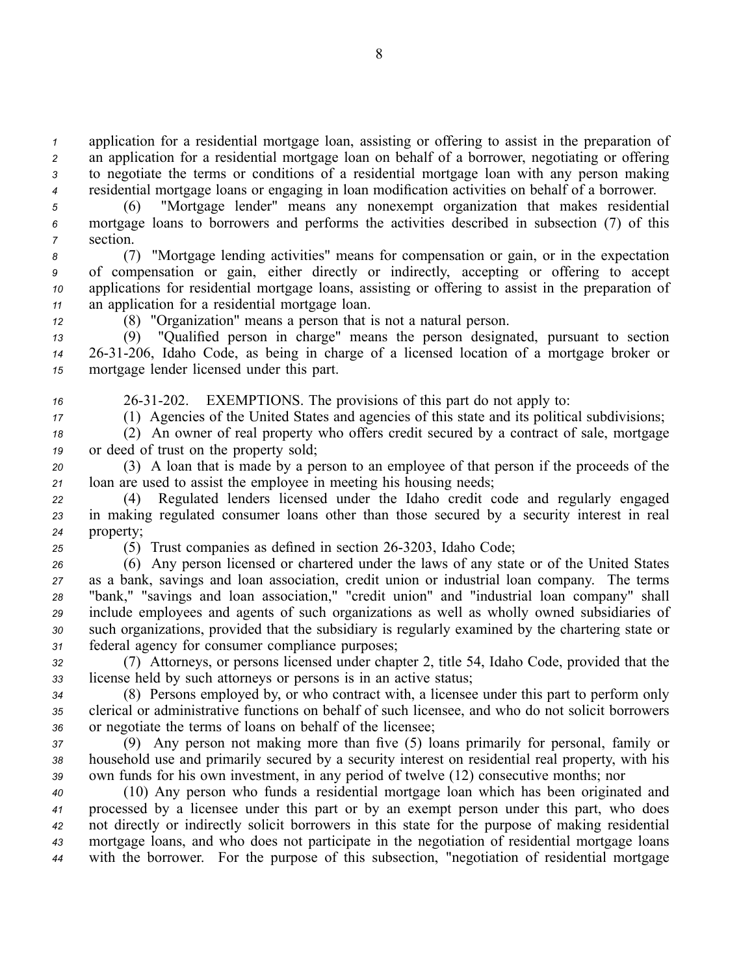application for <sup>a</sup> residential mortgage loan, assisting or offering to assist in the preparation of an application for <sup>a</sup> residential mortgage loan on behalf of <sup>a</sup> borrower, negotiating or offering to negotiate the terms or conditions of <sup>a</sup> residential mortgage loan with any person making residential mortgage loans or engaging in loan modification activities on behalf of <sup>a</sup> borrower.

*<sup>5</sup>* (6) "Mortgage lender" means any nonexemp<sup>t</sup> organization that makes residential *<sup>6</sup>* mortgage loans to borrowers and performs the activities described in subsection (7) of this *<sup>7</sup>* section.

 (7) "Mortgage lending activities" means for compensation or gain, or in the expectation of compensation or gain, either directly or indirectly, accepting or offering to accep<sup>t</sup> applications for residential mortgage loans, assisting or offering to assist in the preparation of an application for <sup>a</sup> residential mortgage loan.

*<sup>12</sup>* (8) "Organization" means <sup>a</sup> person that is not <sup>a</sup> natural person.

*<sup>13</sup>* (9) "Qualified person in charge" means the person designated, pursuan<sup>t</sup> to section *<sup>14</sup>* 2631206, Idaho Code, as being in charge of <sup>a</sup> licensed location of <sup>a</sup> mortgage broker or *<sup>15</sup>* mortgage lender licensed under this part.

*<sup>16</sup>* 2631202. EXEMPTIONS. The provisions of this par<sup>t</sup> do not apply to:

*<sup>17</sup>* (1) Agencies of the United States and agencies of this state and its political subdivisions;

*<sup>18</sup>* (2) An owner of real property who offers credit secured by <sup>a</sup> contract of sale, mortgage *<sup>19</sup>* or deed of trust on the property sold;

*<sup>20</sup>* (3) A loan that is made by <sup>a</sup> person to an employee of that person if the proceeds of the *<sup>21</sup>* loan are used to assist the employee in meeting his housing needs;

*<sup>22</sup>* (4) Regulated lenders licensed under the Idaho credit code and regularly engaged *<sup>23</sup>* in making regulated consumer loans other than those secured by <sup>a</sup> security interest in real *<sup>24</sup>* property;

*25* (5) Trust companies as defined in section 26-3203, Idaho Code;

 (6) Any person licensed or chartered under the laws of any state or of the United States as <sup>a</sup> bank, savings and loan association, credit union or industrial loan company. The terms "bank," "savings and loan association," "credit union" and "industrial loan company" shall include employees and agents of such organizations as well as wholly owned subsidiaries of such organizations, provided that the subsidiary is regularly examined by the chartering state or federal agency for consumer compliance purposes;

*<sup>32</sup>* (7) Attorneys, or persons licensed under chapter 2, title 54, Idaho Code, provided that the *<sup>33</sup>* license held by such attorneys or persons is in an active status;

*<sup>34</sup>* (8) Persons employed by, or who contract with, <sup>a</sup> licensee under this par<sup>t</sup> to perform only *<sup>35</sup>* clerical or administrative functions on behalf of such licensee, and who do not solicit borrowers *<sup>36</sup>* or negotiate the terms of loans on behalf of the licensee;

*<sup>37</sup>* (9) Any person not making more than five (5) loans primarily for personal, family or *<sup>38</sup>* household use and primarily secured by <sup>a</sup> security interest on residential real property, with his *<sup>39</sup>* own funds for his own investment, in any period of twelve (12) consecutive months; nor

 (10) Any person who funds <sup>a</sup> residential mortgage loan which has been originated and processed by <sup>a</sup> licensee under this par<sup>t</sup> or by an exemp<sup>t</sup> person under this part, who does not directly or indirectly solicit borrowers in this state for the purpose of making residential mortgage loans, and who does not participate in the negotiation of residential mortgage loans with the borrower. For the purpose of this subsection, "negotiation of residential mortgage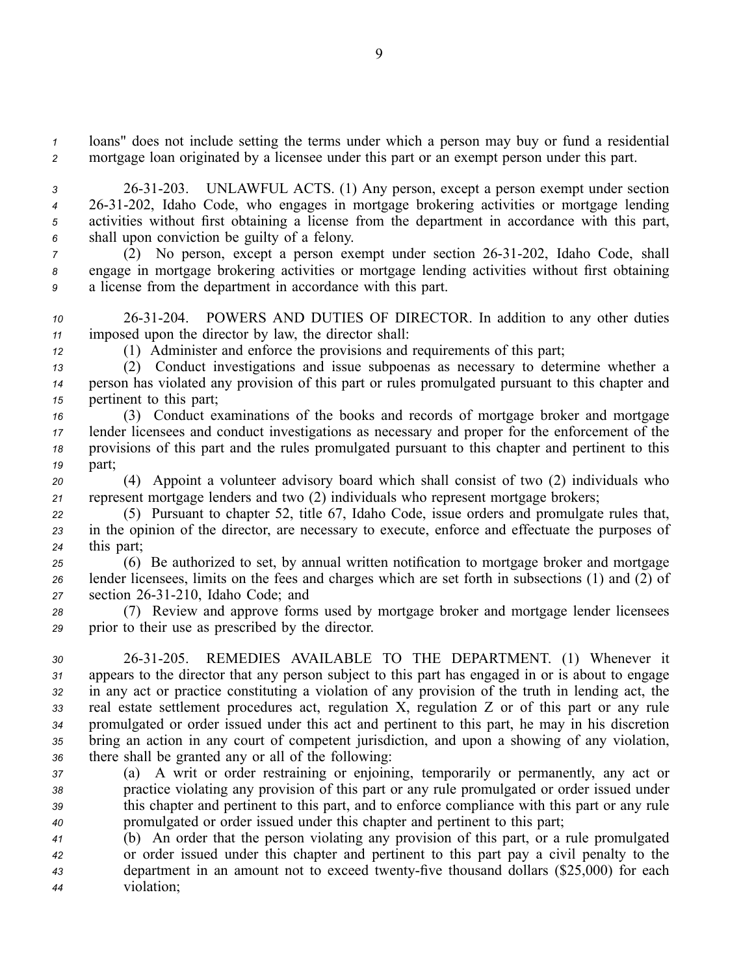*<sup>1</sup>* loans" does not include setting the terms under which <sup>a</sup> person may buy or fund <sup>a</sup> residential *<sup>2</sup>* mortgage loan originated by <sup>a</sup> licensee under this par<sup>t</sup> or an exemp<sup>t</sup> person under this part.

 2631203. UNLAWFUL ACTS. (1) Any person, excep<sup>t</sup> <sup>a</sup> person exemp<sup>t</sup> under section 2631202, Idaho Code, who engages in mortgage brokering activities or mortgage lending activities without first obtaining <sup>a</sup> license from the department in accordance with this part, shall upon conviction be guilty of <sup>a</sup> felony.

*7* (2) No person, except a person exempt under section 26-31-202, Idaho Code, shall *<sup>8</sup>* engage in mortgage brokering activities or mortgage lending activities without first obtaining *<sup>9</sup>* <sup>a</sup> license from the department in accordance with this part.

- *<sup>10</sup>* 2631204. POWERS AND DUTIES OF DIRECTOR. In addition to any other duties *<sup>11</sup>* imposed upon the director by law, the director shall:
- *<sup>12</sup>* (1) Administer and enforce the provisions and requirements of this part;
- *<sup>13</sup>* (2) Conduct investigations and issue subpoenas as necessary to determine whether <sup>a</sup> *<sup>14</sup>* person has violated any provision of this par<sup>t</sup> or rules promulgated pursuan<sup>t</sup> to this chapter and *<sup>15</sup>* pertinent to this part;
- *<sup>16</sup>* (3) Conduct examinations of the books and records of mortgage broker and mortgage *<sup>17</sup>* lender licensees and conduct investigations as necessary and proper for the enforcement of the *<sup>18</sup>* provisions of this par<sup>t</sup> and the rules promulgated pursuan<sup>t</sup> to this chapter and pertinent to this *<sup>19</sup>* part;
- *<sup>20</sup>* (4) Appoint <sup>a</sup> volunteer advisory board which shall consist of two (2) individuals who *<sup>21</sup>* represen<sup>t</sup> mortgage lenders and two (2) individuals who represen<sup>t</sup> mortgage brokers;
- *<sup>22</sup>* (5) Pursuant to chapter 52, title 67, Idaho Code, issue orders and promulgate rules that, *<sup>23</sup>* in the opinion of the director, are necessary to execute, enforce and effectuate the purposes of *<sup>24</sup>* this part;
- *<sup>25</sup>* (6) Be authorized to set, by annual written notification to mortgage broker and mortgage *<sup>26</sup>* lender licensees, limits on the fees and charges which are set forth in subsections (1) and (2) of *<sup>27</sup>* section 2631210, Idaho Code; and
- *<sup>28</sup>* (7) Review and approve forms used by mortgage broker and mortgage lender licensees *<sup>29</sup>* prior to their use as prescribed by the director.
- *<sup>30</sup>* 2631205. REMEDIES AVAILABLE TO THE DEPARTMENT. (1) Whenever it *<sup>31</sup>* appears to the director that any person subject to this par<sup>t</sup> has engaged in or is about to engage *<sup>32</sup>* in any act or practice constituting <sup>a</sup> violation of any provision of the truth in lending act, the *<sup>33</sup>* real estate settlement procedures act, regulation X, regulation Z or of this par<sup>t</sup> or any rule *<sup>34</sup>* promulgated or order issued under this act and pertinent to this part, he may in his discretion *<sup>35</sup>* bring an action in any court of competent jurisdiction, and upon <sup>a</sup> showing of any violation, *<sup>36</sup>* there shall be granted any or all of the following:
- *<sup>37</sup>* (a) A writ or order restraining or enjoining, temporarily or permanently, any act or *<sup>38</sup>* practice violating any provision of this par<sup>t</sup> or any rule promulgated or order issued under *<sup>39</sup>* this chapter and pertinent to this part, and to enforce compliance with this par<sup>t</sup> or any rule *<sup>40</sup>* promulgated or order issued under this chapter and pertinent to this part;
- *<sup>41</sup>* (b) An order that the person violating any provision of this part, or <sup>a</sup> rule promulgated *<sup>42</sup>* or order issued under this chapter and pertinent to this par<sup>t</sup> pay <sup>a</sup> civil penalty to the *43* department in an amount not to exceed twenty-five thousand dollars (\$25,000) for each *<sup>44</sup>* violation;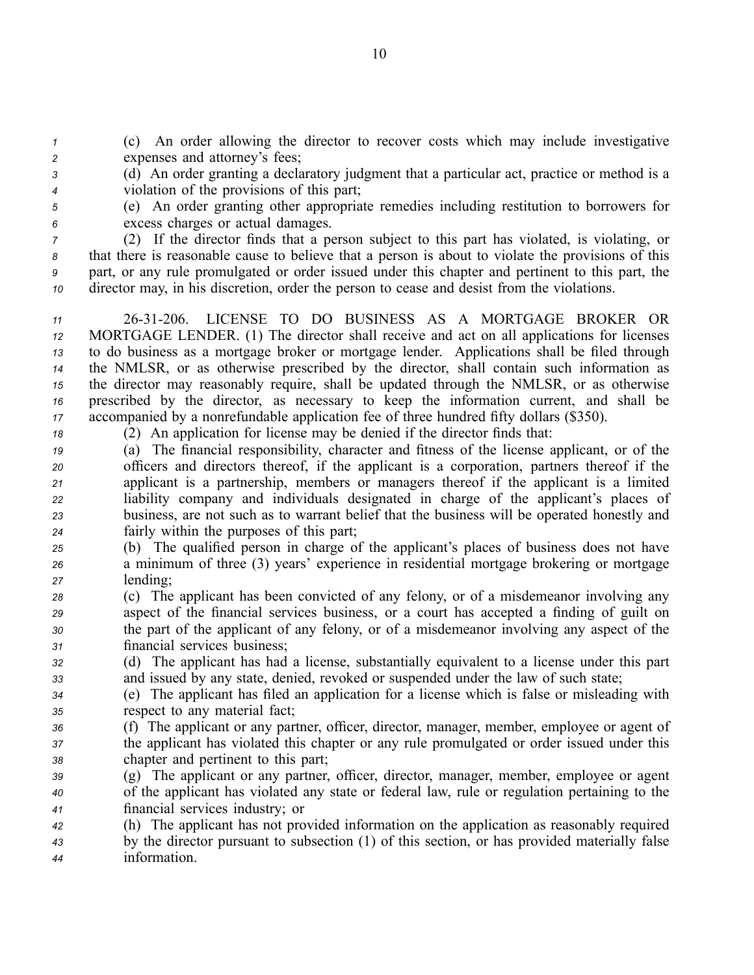*<sup>1</sup>* (c) An order allowing the director to recover costs which may include investigative *<sup>2</sup>* expenses and attorney's fees;

- *<sup>3</sup>* (d) An order granting <sup>a</sup> declaratory judgment that <sup>a</sup> particular act, practice or method is <sup>a</sup> *<sup>4</sup>* violation of the provisions of this part;
- *<sup>5</sup>* (e) An order granting other appropriate remedies including restitution to borrowers for *<sup>6</sup>* excess charges or actual damages.

 (2) If the director finds that a person subject to this part has violated, is violating, or that there is reasonable cause to believe that <sup>a</sup> person is about to violate the provisions of this part, or any rule promulgated or order issued under this chapter and pertinent to this part, the director may, in his discretion, order the person to cease and desist from the violations.

 2631206. LICENSE TO DO BUSINESS AS A MORTGAGE BROKER OR MORTGAGE LENDER. (1) The director shall receive and act on all applications for licenses to do business as <sup>a</sup> mortgage broker or mortgage lender. Applications shall be filed through the NMLSR, or as otherwise prescribed by the director, shall contain such information as the director may reasonably require, shall be updated through the NMLSR, or as otherwise prescribed by the director, as necessary to keep the information current, and shall be accompanied by <sup>a</sup> nonrefundable application fee of three hundred fifty dollars (\$350).

*<sup>18</sup>* (2) An application for license may be denied if the director finds that:

 (a) The financial responsibility, character and fitness of the license applicant, or of the officers and directors thereof, if the applicant is <sup>a</sup> corporation, partners thereof if the applicant is <sup>a</sup> partnership, members or managers thereof if the applicant is <sup>a</sup> limited liability company and individuals designated in charge of the applicant's places of business, are not such as to warrant belief that the business will be operated honestly and fairly within the purposes of this part;

- *<sup>25</sup>* (b) The qualified person in charge of the applicant's places of business does not have *<sup>26</sup>* <sup>a</sup> minimum of three (3) years' experience in residential mortgage brokering or mortgage *<sup>27</sup>* lending;
- *<sup>28</sup>* (c) The applicant has been convicted of any felony, or of <sup>a</sup> misdemeanor involving any *<sup>29</sup>* aspec<sup>t</sup> of the financial services business, or <sup>a</sup> court has accepted <sup>a</sup> finding of guilt on *<sup>30</sup>* the par<sup>t</sup> of the applicant of any felony, or of <sup>a</sup> misdemeanor involving any aspec<sup>t</sup> of the *<sup>31</sup>* financial services business;
- *<sup>32</sup>* (d) The applicant has had <sup>a</sup> license, substantially equivalent to <sup>a</sup> license under this par<sup>t</sup> *<sup>33</sup>* and issued by any state, denied, revoked or suspended under the law of such state;
- *<sup>34</sup>* (e) The applicant has filed an application for <sup>a</sup> license which is false or misleading with *<sup>35</sup>* respec<sup>t</sup> to any material fact;
- *<sup>36</sup>* (f) The applicant or any partner, officer, director, manager, member, employee or agen<sup>t</sup> of *<sup>37</sup>* the applicant has violated this chapter or any rule promulgated or order issued under this *<sup>38</sup>* chapter and pertinent to this part;
- *<sup>39</sup>* (g) The applicant or any partner, officer, director, manager, member, employee or agen<sup>t</sup> *<sup>40</sup>* of the applicant has violated any state or federal law, rule or regulation pertaining to the *<sup>41</sup>* financial services industry; or
- *<sup>42</sup>* (h) The applicant has not provided information on the application as reasonably required *<sup>43</sup>* by the director pursuan<sup>t</sup> to subsection (1) of this section, or has provided materially false *<sup>44</sup>* information.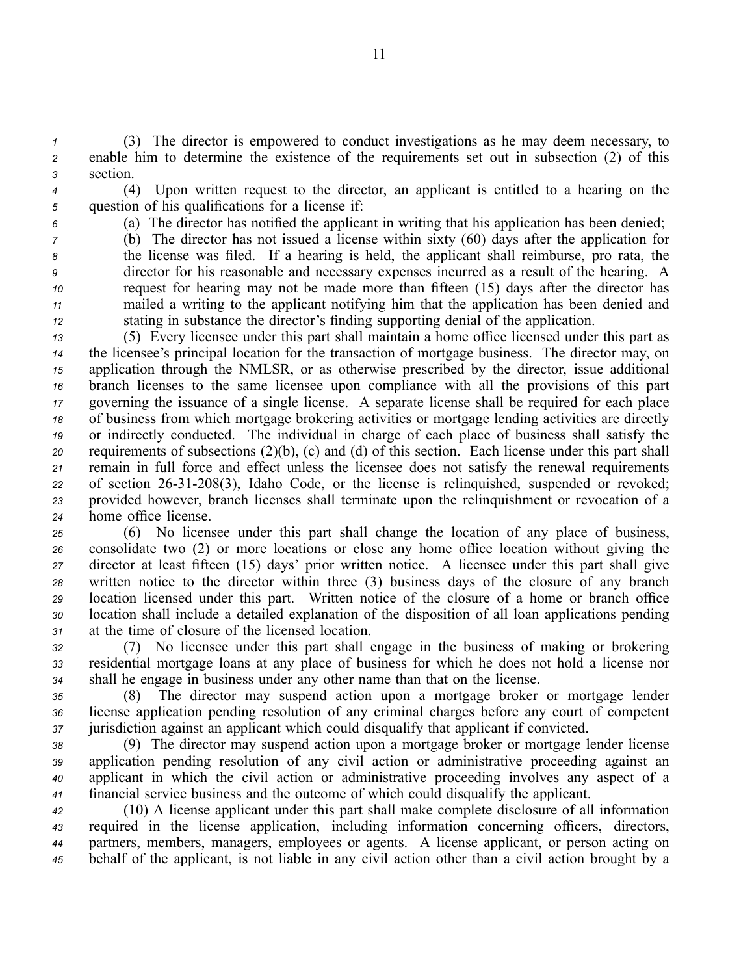*<sup>1</sup>* (3) The director is empowered to conduct investigations as he may deem necessary, to *<sup>2</sup>* enable him to determine the existence of the requirements set out in subsection (2) of this *<sup>3</sup>* section.

- 
- *<sup>4</sup>* (4) Upon written reques<sup>t</sup> to the director, an applicant is entitled to <sup>a</sup> hearing on the *<sup>5</sup>* question of his qualifications for <sup>a</sup> license if:
- 

*<sup>6</sup>* (a) The director has notified the applicant in writing that his application has been denied;

 (b) The director has not issued <sup>a</sup> license within sixty (60) days after the application for the license was filed. If <sup>a</sup> hearing is held, the applicant shall reimburse, pro rata, the director for his reasonable and necessary expenses incurred as <sup>a</sup> result of the hearing. A reques<sup>t</sup> for hearing may not be made more than fifteen (15) days after the director has mailed <sup>a</sup> writing to the applicant notifying him that the application has been denied and stating in substance the director's finding supporting denial of the application.

 (5) Every licensee under this par<sup>t</sup> shall maintain <sup>a</sup> home office licensed under this par<sup>t</sup> as the licensee's principal location for the transaction of mortgage business. The director may, on application through the NMLSR, or as otherwise prescribed by the director, issue additional branch licenses to the same licensee upon compliance with all the provisions of this par<sup>t</sup> governing the issuance of <sup>a</sup> single license. A separate license shall be required for each place of business from which mortgage brokering activities or mortgage lending activities are directly or indirectly conducted. The individual in charge of each place of business shall satisfy the requirements of subsections (2)(b), (c) and (d) of this section. Each license under this par<sup>t</sup> shall remain in full force and effect unless the licensee does not satisfy the renewal requirements 22 of section 26-31-208(3), Idaho Code, or the license is relinquished, suspended or revoked; provided however, branch licenses shall terminate upon the relinquishment or revocation of <sup>a</sup> home office license.

 (6) No licensee under this par<sup>t</sup> shall change the location of any place of business, consolidate two (2) or more locations or close any home office location without giving the director at least fifteen (15) days' prior written notice. A licensee under this par<sup>t</sup> shall give written notice to the director within three (3) business days of the closure of any branch location licensed under this part. Written notice of the closure of <sup>a</sup> home or branch office location shall include <sup>a</sup> detailed explanation of the disposition of all loan applications pending at the time of closure of the licensed location.

*<sup>32</sup>* (7) No licensee under this par<sup>t</sup> shall engage in the business of making or brokering *<sup>33</sup>* residential mortgage loans at any place of business for which he does not hold <sup>a</sup> license nor *<sup>34</sup>* shall he engage in business under any other name than that on the license.

*<sup>35</sup>* (8) The director may suspend action upon <sup>a</sup> mortgage broker or mortgage lender *<sup>36</sup>* license application pending resolution of any criminal charges before any court of competent *<sup>37</sup>* jurisdiction against an applicant which could disqualify that applicant if convicted.

 (9) The director may suspend action upon <sup>a</sup> mortgage broker or mortgage lender license application pending resolution of any civil action or administrative proceeding against an applicant in which the civil action or administrative proceeding involves any aspec<sup>t</sup> of <sup>a</sup> financial service business and the outcome of which could disqualify the applicant.

 (10) A license applicant under this par<sup>t</sup> shall make complete disclosure of all information required in the license application, including information concerning officers, directors, partners, members, managers, employees or agents. A license applicant, or person acting on behalf of the applicant, is not liable in any civil action other than <sup>a</sup> civil action brought by <sup>a</sup>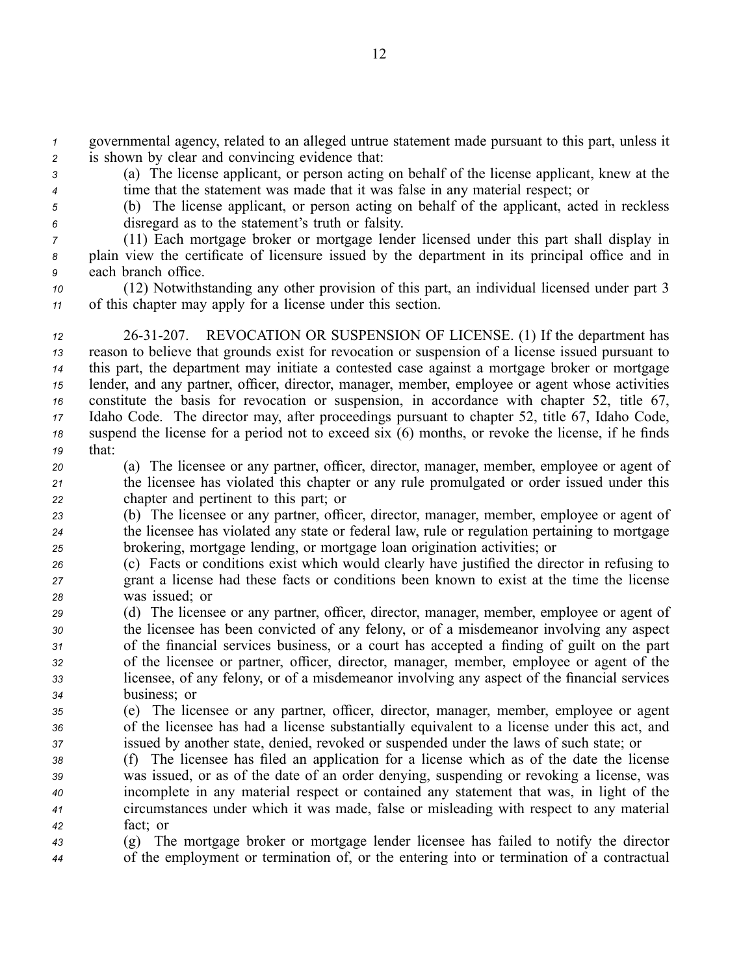*<sup>1</sup>* governmental agency, related to an alleged untrue statement made pursuan<sup>t</sup> to this part, unless it *<sup>2</sup>* is shown by clear and convincing evidence that:

*<sup>3</sup>* (a) The license applicant, or person acting on behalf of the license applicant, knew at the *<sup>4</sup>* time that the statement was made that it was false in any material respect; or

*<sup>5</sup>* (b) The license applicant, or person acting on behalf of the applicant, acted in reckless

*<sup>6</sup>* disregard as to the statement's truth or falsity. *<sup>7</sup>* (11) Each mortgage broker or mortgage lender licensed under this par<sup>t</sup> shall display in

*<sup>8</sup>* plain view the certificate of licensure issued by the department in its principal office and in *<sup>9</sup>* each branch office.

*<sup>10</sup>* (12) Notwithstanding any other provision of this part, an individual licensed under par<sup>t</sup> 3 *<sup>11</sup>* of this chapter may apply for <sup>a</sup> license under this section.

 2631207. REVOCATION OR SUSPENSION OF LICENSE. (1) If the department has reason to believe that grounds exist for revocation or suspension of <sup>a</sup> license issued pursuan<sup>t</sup> to this part, the department may initiate <sup>a</sup> contested case against <sup>a</sup> mortgage broker or mortgage lender, and any partner, officer, director, manager, member, employee or agen<sup>t</sup> whose activities constitute the basis for revocation or suspension, in accordance with chapter 52, title 67, Idaho Code. The director may, after proceedings pursuan<sup>t</sup> to chapter 52, title 67, Idaho Code, suspend the license for <sup>a</sup> period not to exceed six (6) months, or revoke the license, if he finds *<sup>19</sup>* that:

*<sup>20</sup>* (a) The licensee or any partner, officer, director, manager, member, employee or agen<sup>t</sup> of *<sup>21</sup>* the licensee has violated this chapter or any rule promulgated or order issued under this *<sup>22</sup>* chapter and pertinent to this part; or

*<sup>23</sup>* (b) The licensee or any partner, officer, director, manager, member, employee or agen<sup>t</sup> of *<sup>24</sup>* the licensee has violated any state or federal law, rule or regulation pertaining to mortgage *<sup>25</sup>* brokering, mortgage lending, or mortgage loan origination activities; or

- *<sup>26</sup>* (c) Facts or conditions exist which would clearly have justified the director in refusing to *<sup>27</sup>* gran<sup>t</sup> <sup>a</sup> license had these facts or conditions been known to exist at the time the license *<sup>28</sup>* was issued; or
- *<sup>29</sup>* (d) The licensee or any partner, officer, director, manager, member, employee or agen<sup>t</sup> of *<sup>30</sup>* the licensee has been convicted of any felony, or of <sup>a</sup> misdemeanor involving any aspec<sup>t</sup> *<sup>31</sup>* of the financial services business, or <sup>a</sup> court has accepted <sup>a</sup> finding of guilt on the par<sup>t</sup> *<sup>32</sup>* of the licensee or partner, officer, director, manager, member, employee or agen<sup>t</sup> of the *<sup>33</sup>* licensee, of any felony, or of <sup>a</sup> misdemeanor involving any aspec<sup>t</sup> of the financial services *<sup>34</sup>* business; or

*<sup>35</sup>* (e) The licensee or any partner, officer, director, manager, member, employee or agen<sup>t</sup> *<sup>36</sup>* of the licensee has had <sup>a</sup> license substantially equivalent to <sup>a</sup> license under this act, and *<sup>37</sup>* issued by another state, denied, revoked or suspended under the laws of such state; or

 (f) The licensee has filed an application for <sup>a</sup> license which as of the date the license was issued, or as of the date of an order denying, suspending or revoking <sup>a</sup> license, was incomplete in any material respec<sup>t</sup> or contained any statement that was, in light of the circumstances under which it was made, false or misleading with respec<sup>t</sup> to any material *<sup>42</sup>* fact; or

*<sup>43</sup>* (g) The mortgage broker or mortgage lender licensee has failed to notify the director *<sup>44</sup>* of the employment or termination of, or the entering into or termination of <sup>a</sup> contractual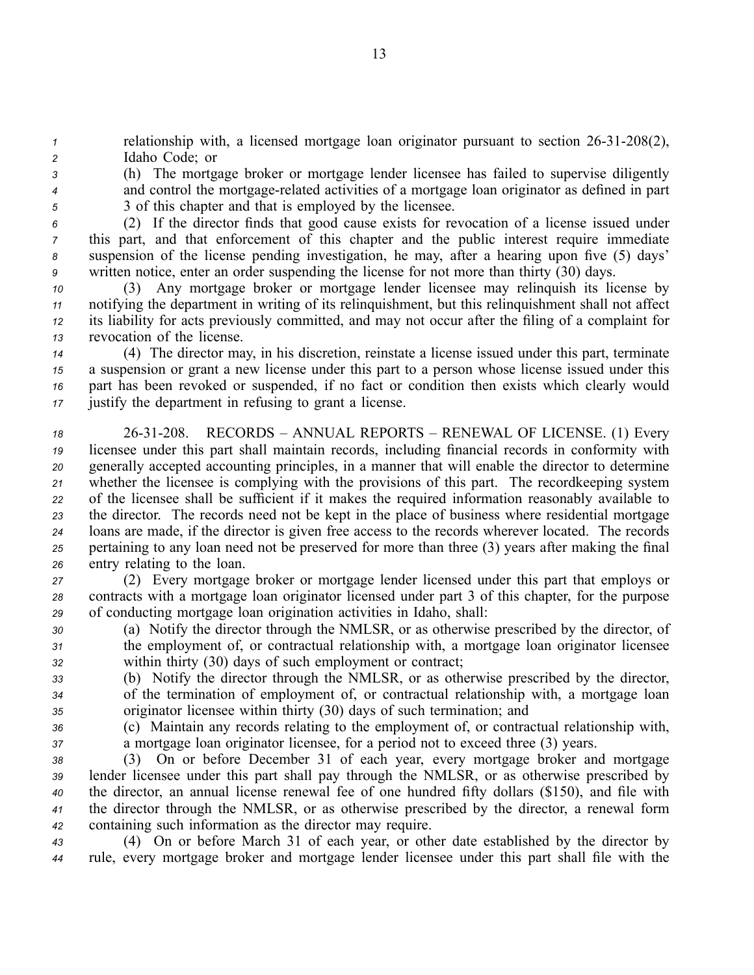*1* relationship with, a licensed mortgage loan originator pursuant to section 26-31-208(2), *<sup>2</sup>* Idaho Code; or

*<sup>3</sup>* (h) The mortgage broker or mortgage lender licensee has failed to supervise diligently <sup>4</sup> and control the mortgage-related activities of a mortgage loan originator as defined in part *<sup>5</sup>* 3 of this chapter and that is employed by the licensee.

 (2) If the director finds that good cause exists for revocation of <sup>a</sup> license issued under this part, and that enforcement of this chapter and the public interest require immediate suspension of the license pending investigation, he may, after <sup>a</sup> hearing upon five (5) days' written notice, enter an order suspending the license for not more than thirty (30) days.

 (3) Any mortgage broker or mortgage lender licensee may relinquish its license by notifying the department in writing of its relinquishment, but this relinquishment shall not affect its liability for acts previously committed, and may not occur after the filing of <sup>a</sup> complaint for revocation of the license.

 (4) The director may, in his discretion, reinstate <sup>a</sup> license issued under this part, terminate <sup>a</sup> suspension or gran<sup>t</sup> <sup>a</sup> new license under this par<sup>t</sup> to <sup>a</sup> person whose license issued under this par<sup>t</sup> has been revoked or suspended, if no fact or condition then exists which clearly would justify the department in refusing to gran<sup>t</sup> <sup>a</sup> license.

 2631208. RECORDS – ANNUAL REPORTS – RENEWAL OF LICENSE. (1) Every licensee under this par<sup>t</sup> shall maintain records, including financial records in conformity with generally accepted accounting principles, in <sup>a</sup> manner that will enable the director to determine whether the licensee is complying with the provisions of this part. The recordkeeping system of the licensee shall be sufficient if it makes the required information reasonably available to the director. The records need not be kept in the place of business where residential mortgage loans are made, if the director is given free access to the records wherever located. The records pertaining to any loan need not be preserved for more than three (3) years after making the final entry relating to the loan.

*<sup>27</sup>* (2) Every mortgage broker or mortgage lender licensed under this par<sup>t</sup> that employs or *<sup>28</sup>* contracts with <sup>a</sup> mortgage loan originator licensed under par<sup>t</sup> 3 of this chapter, for the purpose *<sup>29</sup>* of conducting mortgage loan origination activities in Idaho, shall:

- *<sup>30</sup>* (a) Notify the director through the NMLSR, or as otherwise prescribed by the director, of *<sup>31</sup>* the employment of, or contractual relationship with, <sup>a</sup> mortgage loan originator licensee *<sup>32</sup>* within thirty (30) days of such employment or contract;
- *<sup>33</sup>* (b) Notify the director through the NMLSR, or as otherwise prescribed by the director, *<sup>34</sup>* of the termination of employment of, or contractual relationship with, <sup>a</sup> mortgage loan *<sup>35</sup>* originator licensee within thirty (30) days of such termination; and
- *<sup>36</sup>* (c) Maintain any records relating to the employment of, or contractual relationship with, *<sup>37</sup>* <sup>a</sup> mortgage loan originator licensee, for <sup>a</sup> period not to exceed three (3) years.

 (3) On or before December 31 of each year, every mortgage broker and mortgage lender licensee under this par<sup>t</sup> shall pay through the NMLSR, or as otherwise prescribed by the director, an annual license renewal fee of one hundred fifty dollars (\$150), and file with the director through the NMLSR, or as otherwise prescribed by the director, <sup>a</sup> renewal form containing such information as the director may require.

*<sup>43</sup>* (4) On or before March 31 of each year, or other date established by the director by *<sup>44</sup>* rule, every mortgage broker and mortgage lender licensee under this par<sup>t</sup> shall file with the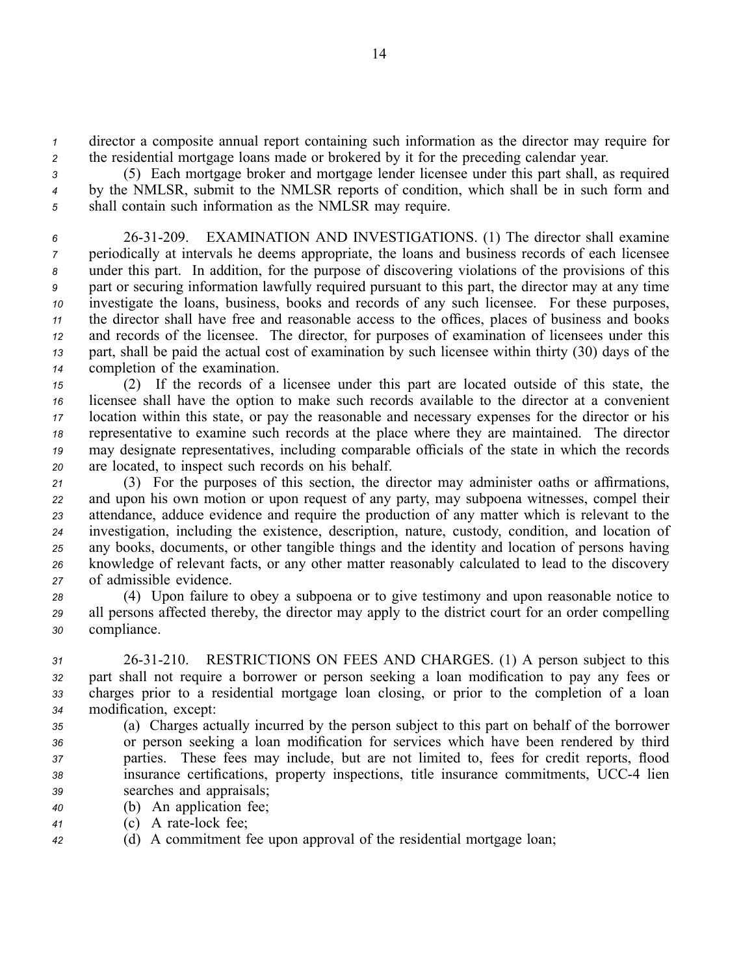*<sup>1</sup>* director <sup>a</sup> composite annual repor<sup>t</sup> containing such information as the director may require for *<sup>2</sup>* the residential mortgage loans made or brokered by it for the preceding calendar year.

*<sup>3</sup>* (5) Each mortgage broker and mortgage lender licensee under this par<sup>t</sup> shall, as required *<sup>4</sup>* by the NMLSR, submit to the NMLSR reports of condition, which shall be in such form and *<sup>5</sup>* shall contain such information as the NMLSR may require.

 2631209. EXAMINATION AND INVESTIGATIONS. (1) The director shall examine periodically at intervals he deems appropriate, the loans and business records of each licensee under this part. In addition, for the purpose of discovering violations of the provisions of this par<sup>t</sup> or securing information lawfully required pursuan<sup>t</sup> to this part, the director may at any time investigate the loans, business, books and records of any such licensee. For these purposes, the director shall have free and reasonable access to the offices, places of business and books and records of the licensee. The director, for purposes of examination of licensees under this part, shall be paid the actual cost of examination by such licensee within thirty (30) days of the completion of the examination.

 (2) If the records of <sup>a</sup> licensee under this par<sup>t</sup> are located outside of this state, the licensee shall have the option to make such records available to the director at <sup>a</sup> convenient location within this state, or pay the reasonable and necessary expenses for the director or his representative to examine such records at the place where they are maintained. The director may designate representatives, including comparable officials of the state in which the records are located, to inspect such records on his behalf.

 (3) For the purposes of this section, the director may administer oaths or affirmations, and upon his own motion or upon reques<sup>t</sup> of any party, may subpoena witnesses, compel their attendance, adduce evidence and require the production of any matter which is relevant to the investigation, including the existence, description, nature, custody, condition, and location of any books, documents, or other tangible things and the identity and location of persons having knowledge of relevant facts, or any other matter reasonably calculated to lead to the discovery of admissible evidence.

*<sup>28</sup>* (4) Upon failure to obey <sup>a</sup> subpoena or to give testimony and upon reasonable notice to *<sup>29</sup>* all persons affected thereby, the director may apply to the district court for an order compelling *<sup>30</sup>* compliance.

 2631210. RESTRICTIONS ON FEES AND CHARGES. (1) A person subject to this par<sup>t</sup> shall not require <sup>a</sup> borrower or person seeking <sup>a</sup> loan modification to pay any fees or charges prior to <sup>a</sup> residential mortgage loan closing, or prior to the completion of <sup>a</sup> loan modification, except:

- *<sup>35</sup>* (a) Charges actually incurred by the person subject to this par<sup>t</sup> on behalf of the borrower *<sup>36</sup>* or person seeking <sup>a</sup> loan modification for services which have been rendered by third *<sup>37</sup>* parties. These fees may include, but are not limited to, fees for credit reports, flood *<sup>38</sup>* insurance certifications, property inspections, title insurance commitments, UCC4 lien *<sup>39</sup>* searches and appraisals;
- *<sup>40</sup>* (b) An application fee;
- *<sup>41</sup>* (c) A ratelock fee;
- *<sup>42</sup>* (d) A commitment fee upon approval of the residential mortgage loan;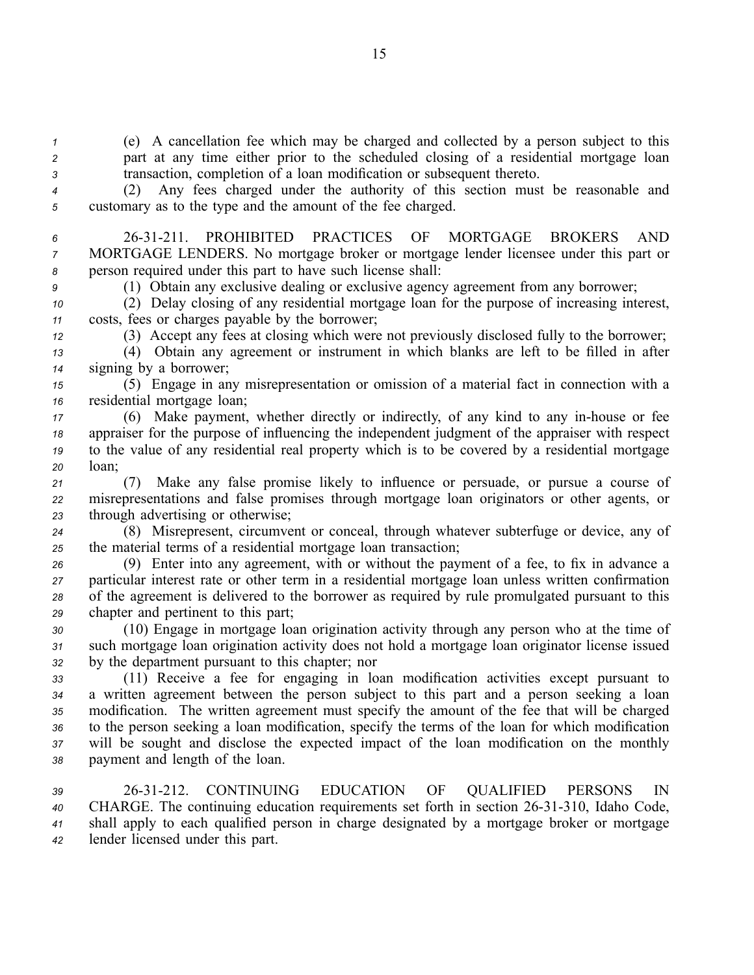*<sup>1</sup>* (e) A cancellation fee which may be charged and collected by <sup>a</sup> person subject to this *<sup>2</sup>* par<sup>t</sup> at any time either prior to the scheduled closing of <sup>a</sup> residential mortgage loan *<sup>3</sup>* transaction, completion of <sup>a</sup> loan modification or subsequent thereto.

*<sup>4</sup>* (2) Any fees charged under the authority of this section must be reasonable and *<sup>5</sup>* customary as to the type and the amount of the fee charged.

*6* 2631211. PROHIBITED PRACTICES OF MORTGAGE BROKERS AND *<sup>7</sup>* MORTGAGE LENDERS. No mortgage broker or mortgage lender licensee under this par<sup>t</sup> or *<sup>8</sup>* person required under this par<sup>t</sup> to have such license shall:

*<sup>9</sup>* (1) Obtain any exclusive dealing or exclusive agency agreemen<sup>t</sup> from any borrower;

*<sup>10</sup>* (2) Delay closing of any residential mortgage loan for the purpose of increasing interest, *<sup>11</sup>* costs, fees or charges payable by the borrower;

*<sup>12</sup>* (3) Accept any fees at closing which were not previously disclosed fully to the borrower;

*<sup>13</sup>* (4) Obtain any agreemen<sup>t</sup> or instrument in which blanks are left to be filled in after *<sup>14</sup>* signing by <sup>a</sup> borrower;

*<sup>15</sup>* (5) Engage in any misrepresentation or omission of <sup>a</sup> material fact in connection with <sup>a</sup> *<sup>16</sup>* residential mortgage loan;

 (6) Make payment, whether directly or indirectly, of any kind to any inhouse or fee appraiser for the purpose of influencing the independent judgment of the appraiser with respec<sup>t</sup> to the value of any residential real property which is to be covered by <sup>a</sup> residential mortgage *<sup>20</sup>* loan;

*<sup>21</sup>* (7) Make any false promise likely to influence or persuade, or pursue <sup>a</sup> course of *<sup>22</sup>* misrepresentations and false promises through mortgage loan originators or other agents, or *<sup>23</sup>* through advertising or otherwise;

*<sup>24</sup>* (8) Misrepresent, circumvent or conceal, through whatever subterfuge or device, any of *<sup>25</sup>* the material terms of <sup>a</sup> residential mortgage loan transaction;

 (9) Enter into any agreement, with or without the paymen<sup>t</sup> of <sup>a</sup> fee, to fix in advance <sup>a</sup> particular interest rate or other term in <sup>a</sup> residential mortgage loan unless written confirmation of the agreemen<sup>t</sup> is delivered to the borrower as required by rule promulgated pursuan<sup>t</sup> to this chapter and pertinent to this part;

*<sup>30</sup>* (10) Engage in mortgage loan origination activity through any person who at the time of *<sup>31</sup>* such mortgage loan origination activity does not hold <sup>a</sup> mortgage loan originator license issued *<sup>32</sup>* by the department pursuan<sup>t</sup> to this chapter; nor

 (11) Receive <sup>a</sup> fee for engaging in loan modification activities excep<sup>t</sup> pursuan<sup>t</sup> to <sup>a</sup> written agreemen<sup>t</sup> between the person subject to this par<sup>t</sup> and <sup>a</sup> person seeking <sup>a</sup> loan modification. The written agreemen<sup>t</sup> must specify the amount of the fee that will be charged to the person seeking <sup>a</sup> loan modification, specify the terms of the loan for which modification will be sought and disclose the expected impact of the loan modification on the monthly paymen<sup>t</sup> and length of the loan.

 2631212. CONTINUING EDUCATION OF QUALIFIED PERSONS IN 40 CHARGE. The continuing education requirements set forth in section 26-31-310, Idaho Code, shall apply to each qualified person in charge designated by <sup>a</sup> mortgage broker or mortgage lender licensed under this part.

15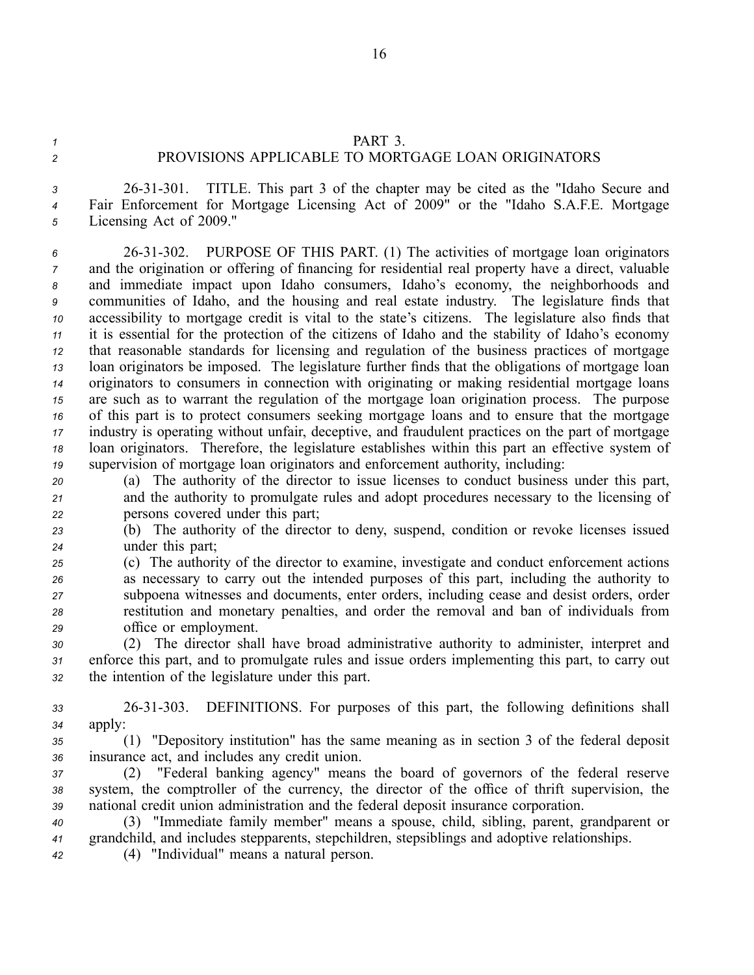## *<sup>1</sup>* PART 3.

## *<sup>2</sup>* PROVISIONS APPLICABLE TO MORTGAGE LOAN ORIGINATORS

*<sup>3</sup>* 2631301. TITLE. This par<sup>t</sup> 3 of the chapter may be cited as the "Idaho Secure and *<sup>4</sup>* Fair Enforcement for Mortgage Licensing Act of 2009" or the "Idaho S.A.F.E. Mortgage *<sup>5</sup>* Licensing Act of 2009."

 2631302. PURPOSE OF THIS PART. (1) The activities of mortgage loan originators and the origination or offering of financing for residential real property have <sup>a</sup> direct, valuable and immediate impact upon Idaho consumers, Idaho's economy, the neighborhoods and communities of Idaho, and the housing and real estate industry. The legislature finds that accessibility to mortgage credit is vital to the state's citizens. The legislature also finds that it is essential for the protection of the citizens of Idaho and the stability of Idaho's economy that reasonable standards for licensing and regulation of the business practices of mortgage loan originators be imposed. The legislature further finds that the obligations of mortgage loan originators to consumers in connection with originating or making residential mortgage loans are such as to warrant the regulation of the mortgage loan origination process. The purpose of this par<sup>t</sup> is to protect consumers seeking mortgage loans and to ensure that the mortgage industry is operating without unfair, deceptive, and fraudulent practices on the par<sup>t</sup> of mortgage loan originators. Therefore, the legislature establishes within this par<sup>t</sup> an effective system of supervision of mortgage loan originators and enforcement authority, including:

*<sup>20</sup>* (a) The authority of the director to issue licenses to conduct business under this part, *<sup>21</sup>* and the authority to promulgate rules and adopt procedures necessary to the licensing of *<sup>22</sup>* persons covered under this part;

*<sup>23</sup>* (b) The authority of the director to deny, suspend, condition or revoke licenses issued *<sup>24</sup>* under this part;

 (c) The authority of the director to examine, investigate and conduct enforcement actions as necessary to carry out the intended purposes of this part, including the authority to subpoena witnesses and documents, enter orders, including cease and desist orders, order restitution and monetary penalties, and order the removal and ban of individuals from office or employment.

*<sup>30</sup>* (2) The director shall have broad administrative authority to administer, interpret and *<sup>31</sup>* enforce this part, and to promulgate rules and issue orders implementing this part, to carry out *<sup>32</sup>* the intention of the legislature under this part.

*<sup>33</sup>* 2631303. DEFINITIONS. For purposes of this part, the following definitions shall *<sup>34</sup>* apply:

*<sup>35</sup>* (1) "Depository institution" has the same meaning as in section 3 of the federal deposit *<sup>36</sup>* insurance act, and includes any credit union.

*<sup>37</sup>* (2) "Federal banking agency" means the board of governors of the federal reserve *<sup>38</sup>* system, the comptroller of the currency, the director of the office of thrift supervision, the *<sup>39</sup>* national credit union administration and the federal deposit insurance corporation.

*<sup>40</sup>* (3) "Immediate family member" means <sup>a</sup> spouse, child, sibling, parent, grandparent or *<sup>41</sup>* grandchild, and includes stepparents, stepchildren, stepsiblings and adoptive relationships.

*<sup>42</sup>* (4) "Individual" means <sup>a</sup> natural person.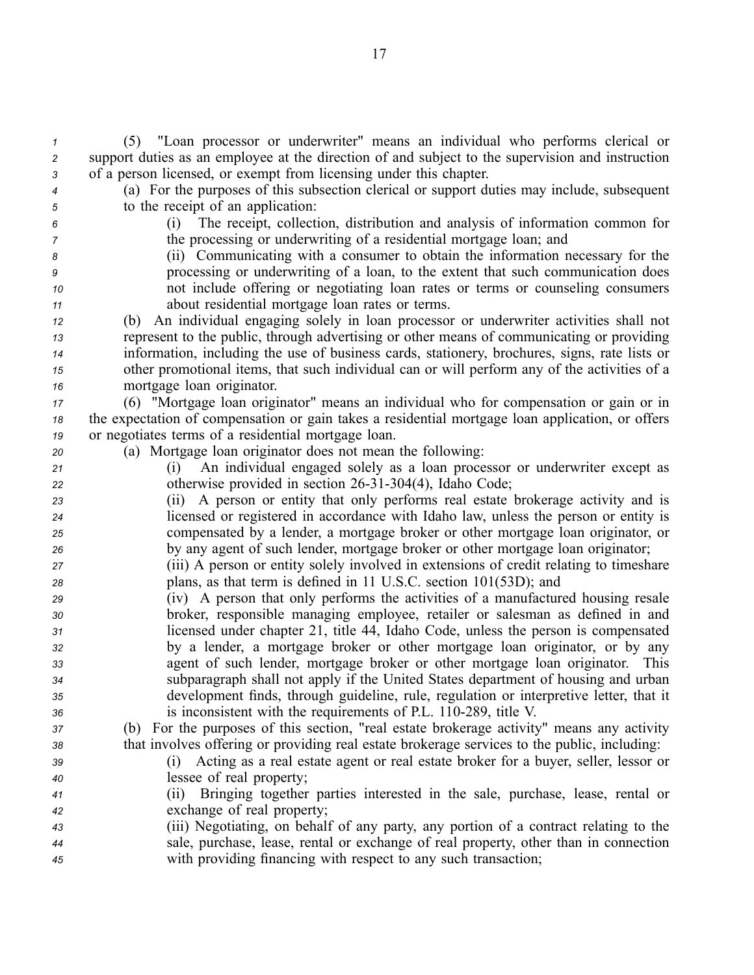*<sup>1</sup>* (5) "Loan processor or underwriter" means an individual who performs clerical or *<sup>2</sup>* suppor<sup>t</sup> duties as an employee at the direction of and subject to the supervision and instruction *<sup>3</sup>* of <sup>a</sup> person licensed, or exemp<sup>t</sup> from licensing under this chapter.

- 
- 

*<sup>4</sup>* (a) For the purposes of this subsection clerical or suppor<sup>t</sup> duties may include, subsequent *<sup>5</sup>* to the receipt of an application:

*<sup>6</sup>* (i) The receipt, collection, distribution and analysis of information common for *<sup>7</sup>* the processing or underwriting of <sup>a</sup> residential mortgage loan; and

 (ii) Communicating with <sup>a</sup> consumer to obtain the information necessary for the processing or underwriting of <sup>a</sup> loan, to the extent that such communication does not include offering or negotiating loan rates or terms or counseling consumers about residential mortgage loan rates or terms.

 (b) An individual engaging solely in loan processor or underwriter activities shall not represen<sup>t</sup> to the public, through advertising or other means of communicating or providing information, including the use of business cards, stationery, brochures, signs, rate lists or other promotional items, that such individual can or will perform any of the activities of <sup>a</sup> mortgage loan originator.

*<sup>17</sup>* (6) "Mortgage loan originator" means an individual who for compensation or gain or in *<sup>18</sup>* the expectation of compensation or gain takes <sup>a</sup> residential mortgage loan application, or offers *<sup>19</sup>* or negotiates terms of <sup>a</sup> residential mortgage loan.

- *<sup>20</sup>* (a) Mortgage loan originator does not mean the following:
- *<sup>21</sup>* (i) An individual engaged solely as <sup>a</sup> loan processor or underwriter excep<sup>t</sup> as 22 otherwise provided in section 26-31-304(4), Idaho Code;

 (ii) A person or entity that only performs real estate brokerage activity and is licensed or registered in accordance with Idaho law, unless the person or entity is compensated by <sup>a</sup> lender, <sup>a</sup> mortgage broker or other mortgage loan originator, or by any agen<sup>t</sup> of such lender, mortgage broker or other mortgage loan originator;

- *<sup>27</sup>* (iii) A person or entity solely involved in extensions of credit relating to timeshare *<sup>28</sup>* plans, as that term is defined in 11 U.S.C. section 101(53D); and
- *<sup>29</sup>* (iv) A person that only performs the activities of <sup>a</sup> manufactured housing resale *<sup>30</sup>* broker, responsible managing employee, retailer or salesman as defined in and *<sup>31</sup>* licensed under chapter 21, title 44, Idaho Code, unless the person is compensated *<sup>32</sup>* by <sup>a</sup> lender, <sup>a</sup> mortgage broker or other mortgage loan originator, or by any *<sup>33</sup>* agen<sup>t</sup> of such lender, mortgage broker or other mortgage loan originator. This *<sup>34</sup>* subparagraph shall not apply if the United States department of housing and urban *<sup>35</sup>* development finds, through guideline, rule, regulation or interpretive letter, that it 36 is inconsistent with the requirements of P.L. 110-289, title V.

*<sup>37</sup>* (b) For the purposes of this section, "real estate brokerage activity" means any activity *<sup>38</sup>* that involves offering or providing real estate brokerage services to the public, including:

- *<sup>39</sup>* (i) Acting as <sup>a</sup> real estate agen<sup>t</sup> or real estate broker for <sup>a</sup> buyer, seller, lessor or *<sup>40</sup>* lessee of real property;
- *<sup>41</sup>* (ii) Bringing together parties interested in the sale, purchase, lease, rental or *<sup>42</sup>* exchange of real property;
- *<sup>43</sup>* (iii) Negotiating, on behalf of any party, any portion of <sup>a</sup> contract relating to the *<sup>44</sup>* sale, purchase, lease, rental or exchange of real property, other than in connection *<sup>45</sup>* with providing financing with respec<sup>t</sup> to any such transaction;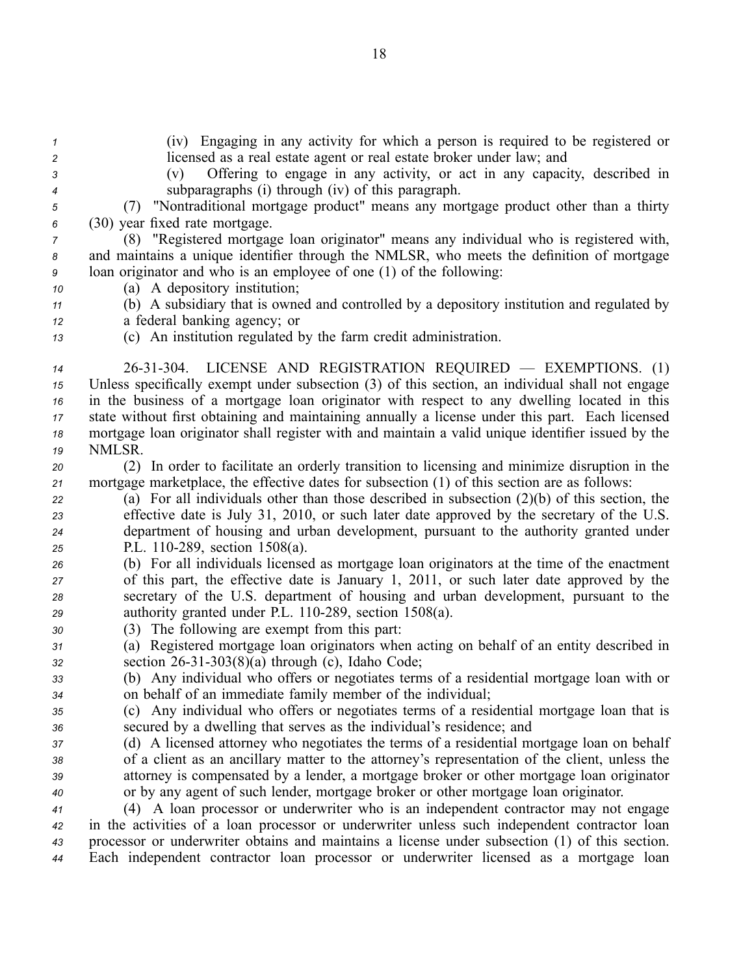| $\mathcal I$<br>2<br>$\mathbf{3}$<br>$\boldsymbol{4}$<br>5<br>6<br>7<br>8<br>9<br>10<br>11<br>12 | (iv) Engaging in any activity for which a person is required to be registered or<br>licensed as a real estate agent or real estate broker under law; and<br>Offering to engage in any activity, or act in any capacity, described in<br>(v)<br>subparagraphs (i) through (iv) of this paragraph.<br>(7) "Nontraditional mortgage product" means any mortgage product other than a thirty<br>(30) year fixed rate mortgage.<br>(8) "Registered mortgage loan originator" means any individual who is registered with,<br>and maintains a unique identifier through the NMLSR, who meets the definition of mortgage<br>loan originator and who is an employee of one (1) of the following:<br>(a) A depository institution;<br>(b) A subsidiary that is owned and controlled by a depository institution and regulated by<br>a federal banking agency; or |
|--------------------------------------------------------------------------------------------------|---------------------------------------------------------------------------------------------------------------------------------------------------------------------------------------------------------------------------------------------------------------------------------------------------------------------------------------------------------------------------------------------------------------------------------------------------------------------------------------------------------------------------------------------------------------------------------------------------------------------------------------------------------------------------------------------------------------------------------------------------------------------------------------------------------------------------------------------------------|
| 13                                                                                               | (c) An institution regulated by the farm credit administration.                                                                                                                                                                                                                                                                                                                                                                                                                                                                                                                                                                                                                                                                                                                                                                                         |
| 14<br>15<br>16<br>$17$<br>18<br>19                                                               | 26-31-304. LICENSE AND REGISTRATION REQUIRED — EXEMPTIONS. (1)<br>Unless specifically exempt under subsection (3) of this section, an individual shall not engage<br>in the business of a mortgage loan originator with respect to any dwelling located in this<br>state without first obtaining and maintaining annually a license under this part. Each licensed<br>mortgage loan originator shall register with and maintain a valid unique identifier issued by the<br>NMLSR.                                                                                                                                                                                                                                                                                                                                                                       |
| 20                                                                                               | (2) In order to facilitate an orderly transition to licensing and minimize disruption in the                                                                                                                                                                                                                                                                                                                                                                                                                                                                                                                                                                                                                                                                                                                                                            |
| 21                                                                                               | mortgage marketplace, the effective dates for subsection (1) of this section are as follows:                                                                                                                                                                                                                                                                                                                                                                                                                                                                                                                                                                                                                                                                                                                                                            |
| 22                                                                                               | (a) For all individuals other than those described in subsection $(2)(b)$ of this section, the                                                                                                                                                                                                                                                                                                                                                                                                                                                                                                                                                                                                                                                                                                                                                          |
| 23                                                                                               | effective date is July 31, 2010, or such later date approved by the secretary of the U.S.                                                                                                                                                                                                                                                                                                                                                                                                                                                                                                                                                                                                                                                                                                                                                               |
| 24                                                                                               | department of housing and urban development, pursuant to the authority granted under                                                                                                                                                                                                                                                                                                                                                                                                                                                                                                                                                                                                                                                                                                                                                                    |
| 25                                                                                               | P.L. 110-289, section 1508(a).                                                                                                                                                                                                                                                                                                                                                                                                                                                                                                                                                                                                                                                                                                                                                                                                                          |
| 26                                                                                               | (b) For all individuals licensed as mortgage loan originators at the time of the enactment                                                                                                                                                                                                                                                                                                                                                                                                                                                                                                                                                                                                                                                                                                                                                              |
| 27                                                                                               | of this part, the effective date is January 1, 2011, or such later date approved by the                                                                                                                                                                                                                                                                                                                                                                                                                                                                                                                                                                                                                                                                                                                                                                 |
| 28                                                                                               | secretary of the U.S. department of housing and urban development, pursuant to the                                                                                                                                                                                                                                                                                                                                                                                                                                                                                                                                                                                                                                                                                                                                                                      |
| 29                                                                                               | authority granted under P.L. 110-289, section 1508(a).                                                                                                                                                                                                                                                                                                                                                                                                                                                                                                                                                                                                                                                                                                                                                                                                  |
| 30                                                                                               | (3) The following are exempt from this part:                                                                                                                                                                                                                                                                                                                                                                                                                                                                                                                                                                                                                                                                                                                                                                                                            |
| 31                                                                                               | (a) Registered mortgage loan originators when acting on behalf of an entity described in                                                                                                                                                                                                                                                                                                                                                                                                                                                                                                                                                                                                                                                                                                                                                                |
| 32                                                                                               | section $26-31-303(8)(a)$ through (c), Idaho Code;                                                                                                                                                                                                                                                                                                                                                                                                                                                                                                                                                                                                                                                                                                                                                                                                      |
| 33                                                                                               | (b) Any individual who offers or negotiates terms of a residential mortgage loan with or                                                                                                                                                                                                                                                                                                                                                                                                                                                                                                                                                                                                                                                                                                                                                                |
| 34                                                                                               | on behalf of an immediate family member of the individual;                                                                                                                                                                                                                                                                                                                                                                                                                                                                                                                                                                                                                                                                                                                                                                                              |
| 35                                                                                               | (c) Any individual who offers or negotiates terms of a residential mortgage loan that is                                                                                                                                                                                                                                                                                                                                                                                                                                                                                                                                                                                                                                                                                                                                                                |
| 36                                                                                               | secured by a dwelling that serves as the individual's residence; and                                                                                                                                                                                                                                                                                                                                                                                                                                                                                                                                                                                                                                                                                                                                                                                    |
| 37                                                                                               | (d) A licensed attorney who negotiates the terms of a residential mortgage loan on behalf                                                                                                                                                                                                                                                                                                                                                                                                                                                                                                                                                                                                                                                                                                                                                               |
| 38                                                                                               | of a client as an ancillary matter to the attorney's representation of the client, unless the                                                                                                                                                                                                                                                                                                                                                                                                                                                                                                                                                                                                                                                                                                                                                           |
| 39                                                                                               | attorney is compensated by a lender, a mortgage broker or other mortgage loan originator                                                                                                                                                                                                                                                                                                                                                                                                                                                                                                                                                                                                                                                                                                                                                                |
| 40                                                                                               | or by any agent of such lender, mortgage broker or other mortgage loan originator.                                                                                                                                                                                                                                                                                                                                                                                                                                                                                                                                                                                                                                                                                                                                                                      |
| 41                                                                                               | (4) A loan processor or underwriter who is an independent contractor may not engage                                                                                                                                                                                                                                                                                                                                                                                                                                                                                                                                                                                                                                                                                                                                                                     |
| 42                                                                                               | in the activities of a loan processor or underwriter unless such independent contractor loan<br>processor or underwriter obtains and maintains a license under subsection (1) of this section.                                                                                                                                                                                                                                                                                                                                                                                                                                                                                                                                                                                                                                                          |
| 43                                                                                               | Each independent contractor loan processor or underwriter licensed as a mortgage loan                                                                                                                                                                                                                                                                                                                                                                                                                                                                                                                                                                                                                                                                                                                                                                   |
| 44                                                                                               |                                                                                                                                                                                                                                                                                                                                                                                                                                                                                                                                                                                                                                                                                                                                                                                                                                                         |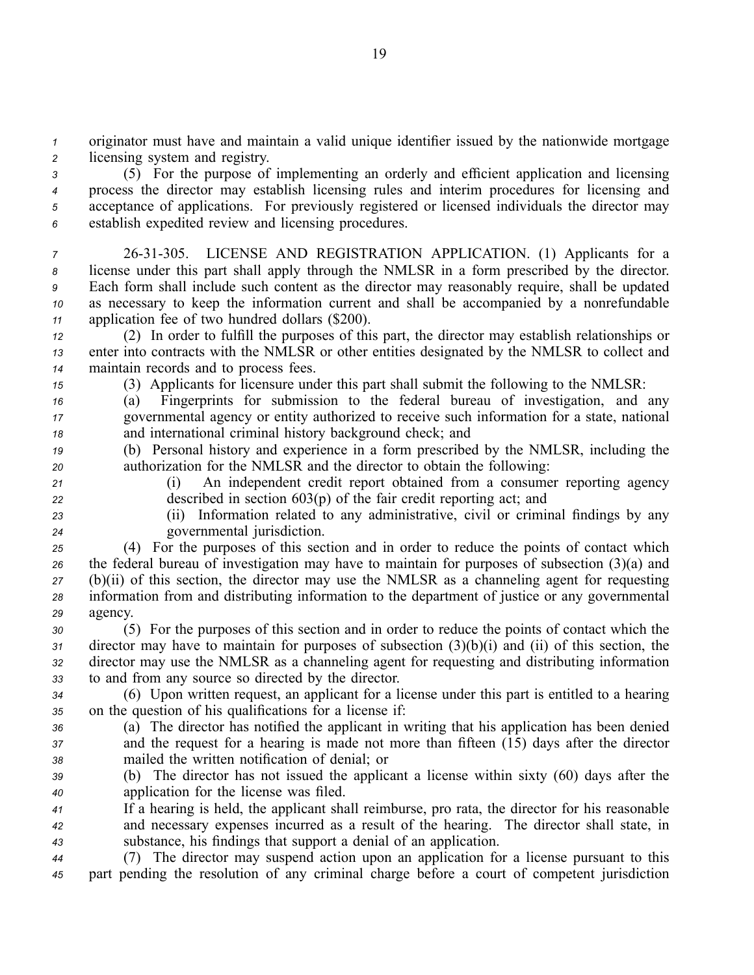*<sup>1</sup>* originator must have and maintain <sup>a</sup> valid unique identifier issued by the nationwide mortgage *<sup>2</sup>* licensing system and registry.

 (5) For the purpose of implementing an orderly and efficient application and licensing process the director may establish licensing rules and interim procedures for licensing and acceptance of applications. For previously registered or licensed individuals the director may establish expedited review and licensing procedures.

 2631305. LICENSE AND REGISTRATION APPLICATION. (1) Applicants for <sup>a</sup> license under this par<sup>t</sup> shall apply through the NMLSR in <sup>a</sup> form prescribed by the director. Each form shall include such content as the director may reasonably require, shall be updated as necessary to keep the information current and shall be accompanied by <sup>a</sup> nonrefundable application fee of two hundred dollars (\$200).

*<sup>12</sup>* (2) In order to fulfill the purposes of this part, the director may establish relationships or *<sup>13</sup>* enter into contracts with the NMLSR or other entities designated by the NMLSR to collect and *<sup>14</sup>* maintain records and to process fees.

*<sup>15</sup>* (3) Applicants for licensure under this par<sup>t</sup> shall submit the following to the NMLSR:

*<sup>16</sup>* (a) Fingerprints for submission to the federal bureau of investigation, and any *<sup>17</sup>* governmental agency or entity authorized to receive such information for <sup>a</sup> state, national *<sup>18</sup>* and international criminal history background check; and

*<sup>19</sup>* (b) Personal history and experience in <sup>a</sup> form prescribed by the NMLSR, including the *<sup>20</sup>* authorization for the NMLSR and the director to obtain the following:

*<sup>21</sup>* (i) An independent credit repor<sup>t</sup> obtained from <sup>a</sup> consumer reporting agency *<sup>22</sup>* described in section 603(p) of the fair credit reporting act; and

*<sup>23</sup>* (ii) Information related to any administrative, civil or criminal findings by any *<sup>24</sup>* governmental jurisdiction.

 (4) For the purposes of this section and in order to reduce the points of contact which the federal bureau of investigation may have to maintain for purposes of subsection (3)(a) and (b)(ii) of this section, the director may use the NMLSR as <sup>a</sup> channeling agen<sup>t</sup> for requesting information from and distributing information to the department of justice or any governmental *29* agency.

 (5) For the purposes of this section and in order to reduce the points of contact which the director may have to maintain for purposes of subsection (3)(b)(i) and (ii) of this section, the director may use the NMLSR as <sup>a</sup> channeling agen<sup>t</sup> for requesting and distributing information to and from any source so directed by the director.

*<sup>34</sup>* (6) Upon written request, an applicant for <sup>a</sup> license under this par<sup>t</sup> is entitled to <sup>a</sup> hearing *<sup>35</sup>* on the question of his qualifications for <sup>a</sup> license if:

*<sup>36</sup>* (a) The director has notified the applicant in writing that his application has been denied *<sup>37</sup>* and the reques<sup>t</sup> for <sup>a</sup> hearing is made not more than fifteen (15) days after the director *<sup>38</sup>* mailed the written notification of denial; or

*<sup>39</sup>* (b) The director has not issued the applicant <sup>a</sup> license within sixty (60) days after the *<sup>40</sup>* application for the license was filed.

*<sup>41</sup>* If <sup>a</sup> hearing is held, the applicant shall reimburse, pro rata, the director for his reasonable *<sup>42</sup>* and necessary expenses incurred as <sup>a</sup> result of the hearing. The director shall state, in *<sup>43</sup>* substance, his findings that suppor<sup>t</sup> <sup>a</sup> denial of an application.

*<sup>44</sup>* (7) The director may suspend action upon an application for <sup>a</sup> license pursuan<sup>t</sup> to this *<sup>45</sup>* par<sup>t</sup> pending the resolution of any criminal charge before <sup>a</sup> court of competent jurisdiction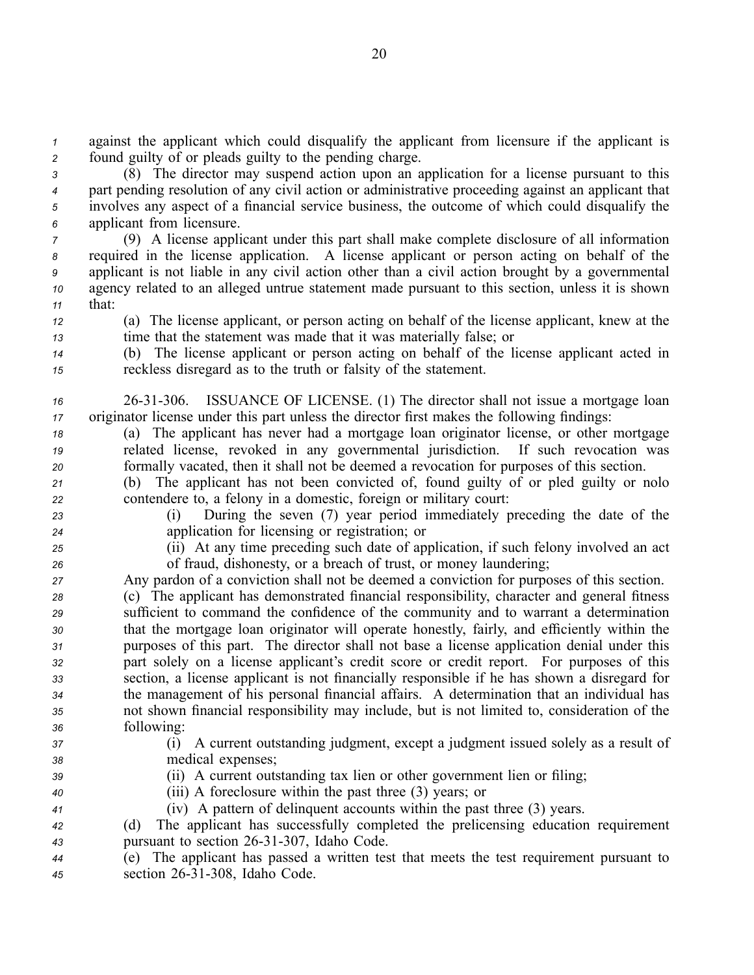*<sup>1</sup>* against the applicant which could disqualify the applicant from licensure if the applicant is *<sup>2</sup>* found guilty of or pleads guilty to the pending charge.

 (8) The director may suspend action upon an application for <sup>a</sup> license pursuan<sup>t</sup> to this par<sup>t</sup> pending resolution of any civil action or administrative proceeding against an applicant that involves any aspec<sup>t</sup> of <sup>a</sup> financial service business, the outcome of which could disqualify the applicant from licensure.

 (9) A license applicant under this par<sup>t</sup> shall make complete disclosure of all information required in the license application. A license applicant or person acting on behalf of the applicant is not liable in any civil action other than <sup>a</sup> civil action brought by <sup>a</sup> governmental agency related to an alleged untrue statement made pursuan<sup>t</sup> to this section, unless it is shown *<sup>11</sup>* that:

*<sup>12</sup>* (a) The license applicant, or person acting on behalf of the license applicant, knew at the *<sup>13</sup>* time that the statement was made that it was materially false; or

*<sup>14</sup>* (b) The license applicant or person acting on behalf of the license applicant acted in *<sup>15</sup>* reckless disregard as to the truth or falsity of the statement.

*<sup>16</sup>* 2631306. ISSUANCE OF LICENSE. (1) The director shall not issue <sup>a</sup> mortgage loan *<sup>17</sup>* originator license under this par<sup>t</sup> unless the director first makes the following findings:

*<sup>18</sup>* (a) The applicant has never had <sup>a</sup> mortgage loan originator license, or other mortgage *<sup>19</sup>* related license, revoked in any governmental jurisdiction. If such revocation was *<sup>20</sup>* formally vacated, then it shall not be deemed <sup>a</sup> revocation for purposes of this section.

*<sup>21</sup>* (b) The applicant has not been convicted of, found guilty of or pled guilty or nolo *<sup>22</sup>* contendere to, <sup>a</sup> felony in <sup>a</sup> domestic, foreign or military court:

*<sup>23</sup>* (i) During the seven (7) year period immediately preceding the date of the *<sup>24</sup>* application for licensing or registration; or

*<sup>25</sup>* (ii) At any time preceding such date of application, if such felony involved an act *<sup>26</sup>* of fraud, dishonesty, or <sup>a</sup> breach of trust, or money laundering;

*<sup>27</sup>* Any pardon of <sup>a</sup> conviction shall not be deemed <sup>a</sup> conviction for purposes of this section.

 (c) The applicant has demonstrated financial responsibility, character and general fitness sufficient to command the confidence of the community and to warrant <sup>a</sup> determination that the mortgage loan originator will operate honestly, fairly, and efficiently within the purposes of this part. The director shall not base <sup>a</sup> license application denial under this par<sup>t</sup> solely on <sup>a</sup> license applicant's credit score or credit report. For purposes of this section, <sup>a</sup> license applicant is not financially responsible if he has shown <sup>a</sup> disregard for the managemen<sup>t</sup> of his personal financial affairs. A determination that an individual has not shown financial responsibility may include, but is not limited to, consideration of the following:

*<sup>37</sup>* (i) A current outstanding judgment, excep<sup>t</sup> <sup>a</sup> judgment issued solely as <sup>a</sup> result of *<sup>38</sup>* medical expenses;

*<sup>39</sup>* (ii) A current outstanding tax lien or other governmen<sup>t</sup> lien or filing;

*<sup>40</sup>* (iii) A foreclosure within the pas<sup>t</sup> three (3) years; or *<sup>41</sup>* (iv) A pattern of delinquent accounts within the pas<sup>t</sup> three (3) years.

*<sup>42</sup>* (d) The applicant has successfully completed the prelicensing education requirement <sup>43</sup> pursuant to section 26-31-307, Idaho Code.

*<sup>44</sup>* (e) The applicant has passed <sup>a</sup> written test that meets the test requirement pursuan<sup>t</sup> to *<sup>45</sup>* section 2631308, Idaho Code.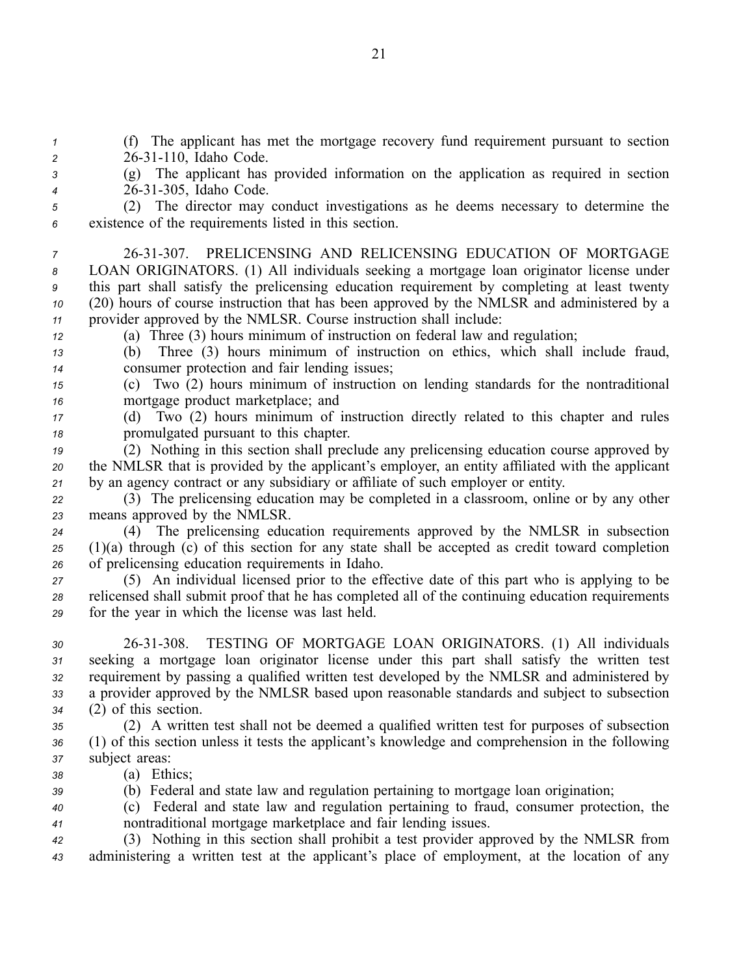(f) The applicant has met the mortgage recovery fund requirement pursuan<sup>t</sup> to section 2 26-31-110, Idaho Code. (g) The applicant has provided information on the application as required in section 2631305, Idaho Code. (2) The director may conduct investigations as he deems necessary to determine the existence of the requirements listed in this section. 2631307. PRELICENSING AND RELICENSING EDUCATION OF MORTGAGE LOAN ORIGINATORS. (1) All individuals seeking <sup>a</sup> mortgage loan originator license under this par<sup>t</sup> shall satisfy the prelicensing education requirement by completing at least twenty (20) hours of course instruction that has been approved by the NMLSR and administered by <sup>a</sup> provider approved by the NMLSR. Course instruction shall include: (a) Three (3) hours minimum of instruction on federal law and regulation; (b) Three (3) hours minimum of instruction on ethics, which shall include fraud, consumer protection and fair lending issues; (c) Two (2) hours minimum of instruction on lending standards for the nontraditional mortgage product marketplace; and (d) Two (2) hours minimum of instruction directly related to this chapter and rules promulgated pursuan<sup>t</sup> to this chapter.

*<sup>19</sup>* (2) Nothing in this section shall preclude any prelicensing education course approved by *<sup>20</sup>* the NMLSR that is provided by the applicant's employer, an entity affiliated with the applicant *<sup>21</sup>* by an agency contract or any subsidiary or affiliate of such employer or entity.

*<sup>22</sup>* (3) The prelicensing education may be completed in <sup>a</sup> classroom, online or by any other *<sup>23</sup>* means approved by the NMLSR.

*<sup>24</sup>* (4) The prelicensing education requirements approved by the NMLSR in subsection *<sup>25</sup>* (1)(a) through (c) of this section for any state shall be accepted as credit toward completion *<sup>26</sup>* of prelicensing education requirements in Idaho.

*<sup>27</sup>* (5) An individual licensed prior to the effective date of this par<sup>t</sup> who is applying to be *<sup>28</sup>* relicensed shall submit proof that he has completed all of the continuing education requirements *<sup>29</sup>* for the year in which the license was last held.

 2631308. TESTING OF MORTGAGE LOAN ORIGINATORS. (1) All individuals seeking <sup>a</sup> mortgage loan originator license under this par<sup>t</sup> shall satisfy the written test requirement by passing <sup>a</sup> qualified written test developed by the NMLSR and administered by <sup>a</sup> provider approved by the NMLSR based upon reasonable standards and subject to subsection (2) of this section.

*<sup>35</sup>* (2) A written test shall not be deemed <sup>a</sup> qualified written test for purposes of subsection *<sup>36</sup>* (1) of this section unless it tests the applicant's knowledge and comprehension in the following *<sup>37</sup>* subject areas:

*<sup>38</sup>* (a) Ethics;

*<sup>39</sup>* (b) Federal and state law and regulation pertaining to mortgage loan origination;

*<sup>40</sup>* (c) Federal and state law and regulation pertaining to fraud, consumer protection, the *<sup>41</sup>* nontraditional mortgage marketplace and fair lending issues.

*<sup>42</sup>* (3) Nothing in this section shall prohibit <sup>a</sup> test provider approved by the NMLSR from *<sup>43</sup>* administering <sup>a</sup> written test at the applicant's place of employment, at the location of any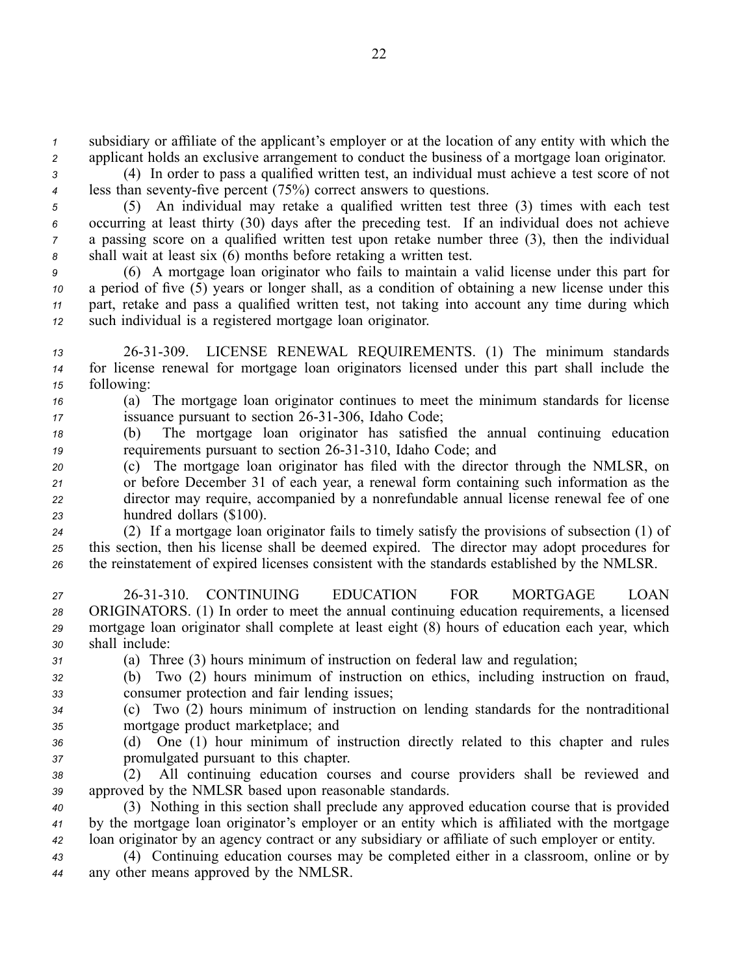*<sup>1</sup>* subsidiary or affiliate of the applicant's employer or at the location of any entity with which the *<sup>2</sup>* applicant holds an exclusive arrangemen<sup>t</sup> to conduct the business of <sup>a</sup> mortgage loan originator.

*<sup>3</sup>* (4) In order to pass <sup>a</sup> qualified written test, an individual must achieve <sup>a</sup> test score of not *4* less than seventy-five percent (75%) correct answers to questions.

 (5) An individual may retake <sup>a</sup> qualified written test three (3) times with each test occurring at least thirty (30) days after the preceding test. If an individual does not achieve <sup>a</sup> passing score on <sup>a</sup> qualified written test upon retake number three (3), then the individual shall wait at least six (6) months before retaking <sup>a</sup> written test.

 (6) A mortgage loan originator who fails to maintain <sup>a</sup> valid license under this par<sup>t</sup> for <sup>a</sup> period of five (5) years or longer shall, as <sup>a</sup> condition of obtaining <sup>a</sup> new license under this part, retake and pass <sup>a</sup> qualified written test, not taking into account any time during which such individual is <sup>a</sup> registered mortgage loan originator.

*<sup>13</sup>* 2631309. LICENSE RENEWAL REQUIREMENTS. (1) The minimum standards *<sup>14</sup>* for license renewal for mortgage loan originators licensed under this par<sup>t</sup> shall include the *<sup>15</sup>* following:

*<sup>16</sup>* (a) The mortgage loan originator continues to meet the minimum standards for license *17* issuance pursuant to section 26-31-306, Idaho Code;

*<sup>18</sup>* (b) The mortgage loan originator has satisfied the annual continuing education *19* requirements pursuant to section 26-31-310, Idaho Code; and

 (c) The mortgage loan originator has filed with the director through the NMLSR, on or before December 31 of each year, <sup>a</sup> renewal form containing such information as the director may require, accompanied by <sup>a</sup> nonrefundable annual license renewal fee of one hundred dollars (\$100).

*<sup>24</sup>* (2) If <sup>a</sup> mortgage loan originator fails to timely satisfy the provisions of subsection (1) of *<sup>25</sup>* this section, then his license shall be deemed expired. The director may adopt procedures for *<sup>26</sup>* the reinstatement of expired licenses consistent with the standards established by the NMLSR.

 2631310. CONTINUING EDUCATION FOR MORTGAGE LOAN ORIGINATORS. (1) In order to meet the annual continuing education requirements, <sup>a</sup> licensed mortgage loan originator shall complete at least eight (8) hours of education each year, which shall include:

*<sup>31</sup>* (a) Three (3) hours minimum of instruction on federal law and regulation;

- *<sup>32</sup>* (b) Two (2) hours minimum of instruction on ethics, including instruction on fraud, *<sup>33</sup>* consumer protection and fair lending issues;
- *<sup>34</sup>* (c) Two (2) hours minimum of instruction on lending standards for the nontraditional *<sup>35</sup>* mortgage product marketplace; and
- 
- *<sup>36</sup>* (d) One (1) hour minimum of instruction directly related to this chapter and rules *<sup>37</sup>* promulgated pursuan<sup>t</sup> to this chapter.
- *<sup>38</sup>* (2) All continuing education courses and course providers shall be reviewed and *<sup>39</sup>* approved by the NMLSR based upon reasonable standards.

*<sup>40</sup>* (3) Nothing in this section shall preclude any approved education course that is provided *<sup>41</sup>* by the mortgage loan originator's employer or an entity which is affiliated with the mortgage *<sup>42</sup>* loan originator by an agency contract or any subsidiary or affiliate of such employer or entity.

*<sup>43</sup>* (4) Continuing education courses may be completed either in <sup>a</sup> classroom, online or by *<sup>44</sup>* any other means approved by the NMLSR.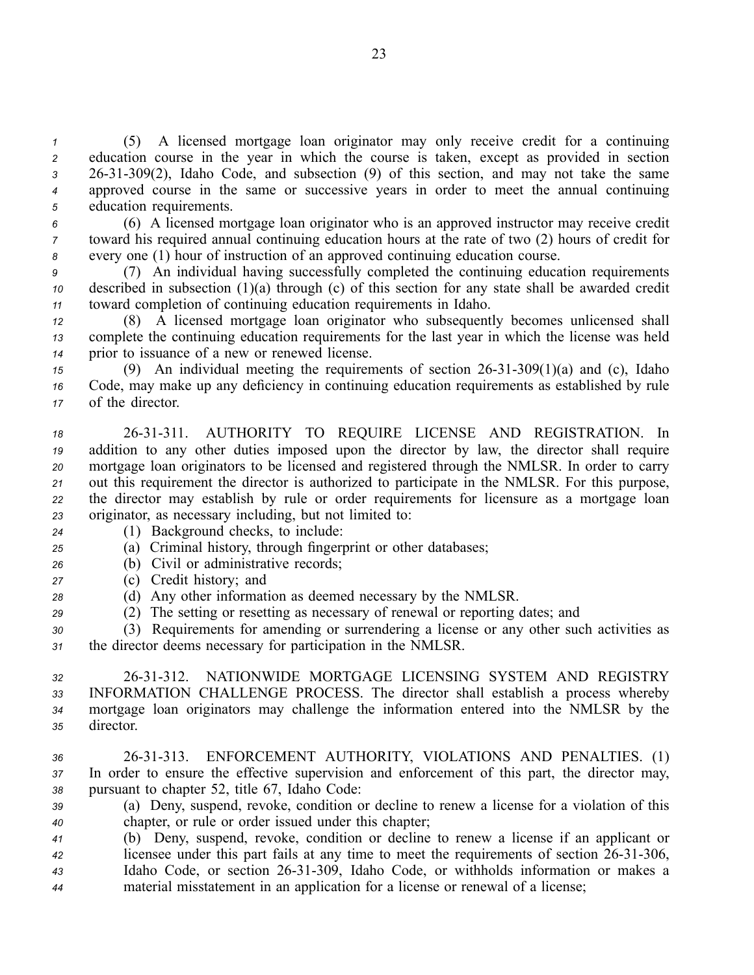(5) A licensed mortgage loan originator may only receive credit for <sup>a</sup> continuing education course in the year in which the course is taken, excep<sup>t</sup> as provided in section 2631309(2), Idaho Code, and subsection (9) of this section, and may not take the same approved course in the same or successive years in order to meet the annual continuing education requirements.

*<sup>6</sup>* (6) A licensed mortgage loan originator who is an approved instructor may receive credit *<sup>7</sup>* toward his required annual continuing education hours at the rate of two (2) hours of credit for *<sup>8</sup>* every one (1) hour of instruction of an approved continuing education course.

*<sup>9</sup>* (7) An individual having successfully completed the continuing education requirements *<sup>10</sup>* described in subsection (1)(a) through (c) of this section for any state shall be awarded credit *<sup>11</sup>* toward completion of continuing education requirements in Idaho.

*<sup>12</sup>* (8) A licensed mortgage loan originator who subsequently becomes unlicensed shall *<sup>13</sup>* complete the continuing education requirements for the last year in which the license was held *<sup>14</sup>* prior to issuance of <sup>a</sup> new or renewed license.

*<sup>15</sup>* (9) An individual meeting the requirements of section 2631309(1)(a) and (c), Idaho *<sup>16</sup>* Code, may make up any deficiency in continuing education requirements as established by rule *<sup>17</sup>* of the director.

 2631311. AUTHORITY TO REQUIRE LICENSE AND REGISTRATION. In addition to any other duties imposed upon the director by law, the director shall require mortgage loan originators to be licensed and registered through the NMLSR. In order to carry out this requirement the director is authorized to participate in the NMLSR. For this purpose, the director may establish by rule or order requirements for licensure as <sup>a</sup> mortgage loan originator, as necessary including, but not limited to:

- *<sup>24</sup>* (1) Background checks, to include:
- *<sup>25</sup>* (a) Criminal history, through fingerprint or other databases;
- *<sup>26</sup>* (b) Civil or administrative records;
- *<sup>27</sup>* (c) Credit history; and
- *<sup>28</sup>* (d) Any other information as deemed necessary by the NMLSR.
- *<sup>29</sup>* (2) The setting or resetting as necessary of renewal or reporting dates; and

*<sup>30</sup>* (3) Requirements for amending or surrendering <sup>a</sup> license or any other such activities as *<sup>31</sup>* the director deems necessary for participation in the NMLSR.

 2631312. NATIONWIDE MORTGAGE LICENSING SYSTEM AND REGISTRY INFORMATION CHALLENGE PROCESS. The director shall establish <sup>a</sup> process whereby mortgage loan originators may challenge the information entered into the NMLSR by the director.

*<sup>36</sup>* 2631313. ENFORCEMENT AUTHORITY, VIOLATIONS AND PENALTIES. (1) *<sup>37</sup>* In order to ensure the effective supervision and enforcement of this part, the director may, *<sup>38</sup>* pursuan<sup>t</sup> to chapter 52, title 67, Idaho Code:

*<sup>39</sup>* (a) Deny, suspend, revoke, condition or decline to renew <sup>a</sup> license for <sup>a</sup> violation of this *<sup>40</sup>* chapter, or rule or order issued under this chapter;

 (b) Deny, suspend, revoke, condition or decline to renew <sup>a</sup> license if an applicant or licensee under this part fails at any time to meet the requirements of section 26-31-306, Idaho Code, or section 2631309, Idaho Code, or withholds information or makes <sup>a</sup> material misstatement in an application for <sup>a</sup> license or renewal of <sup>a</sup> license;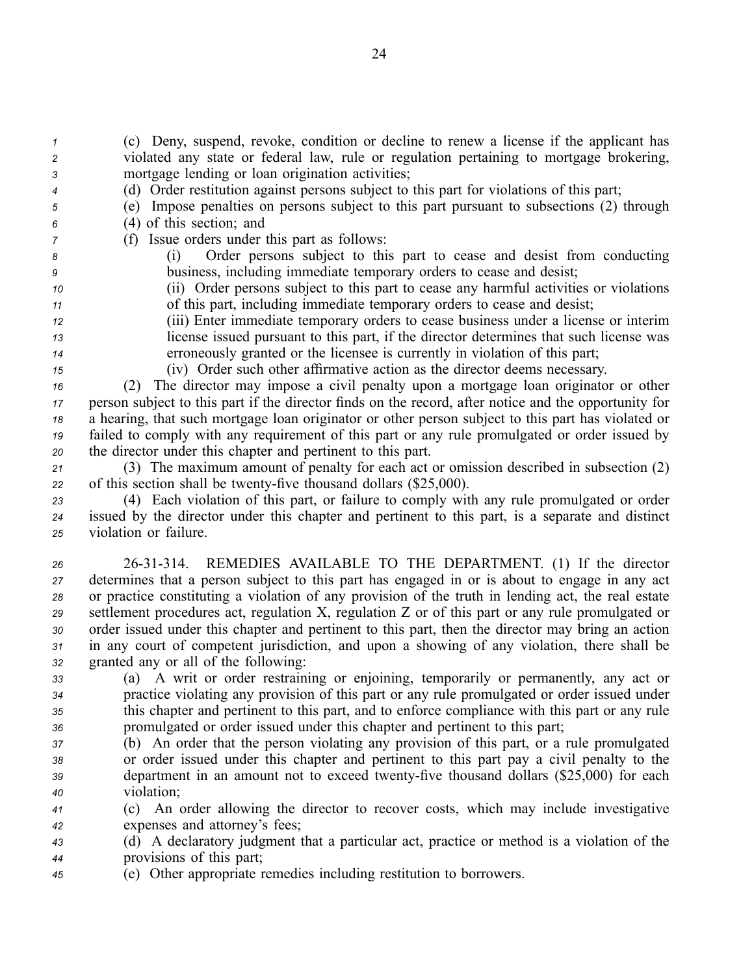*<sup>1</sup>* (c) Deny, suspend, revoke, condition or decline to renew <sup>a</sup> license if the applicant has *<sup>2</sup>* violated any state or federal law, rule or regulation pertaining to mortgage brokering, *<sup>3</sup>* mortgage lending or loan origination activities;

- *<sup>4</sup>* (d) Order restitution against persons subject to this par<sup>t</sup> for violations of this part;
- *<sup>5</sup>* (e) Impose penalties on persons subject to this par<sup>t</sup> pursuan<sup>t</sup> to subsections (2) through *<sup>6</sup>* (4) of this section; and
- *<sup>7</sup>* (f) Issue orders under this par<sup>t</sup> as follows:
- *<sup>8</sup>* (i) Order persons subject to this par<sup>t</sup> to cease and desist from conducting
- 
- 

*<sup>9</sup>* business, including immediate temporary orders to cease and desist; *<sup>10</sup>* (ii) Order persons subject to this par<sup>t</sup> to cease any harmful activities or violations

- *<sup>11</sup>* of this part, including immediate temporary orders to cease and desist;
- *<sup>12</sup>* (iii) Enter immediate temporary orders to cease business under <sup>a</sup> license or interim *<sup>13</sup>* license issued pursuan<sup>t</sup> to this part, if the director determines that such license was *<sup>14</sup>* erroneously granted or the licensee is currently in violation of this part;
- 

*<sup>15</sup>* (iv) Order such other affirmative action as the director deems necessary.

 (2) The director may impose <sup>a</sup> civil penalty upon <sup>a</sup> mortgage loan originator or other person subject to this par<sup>t</sup> if the director finds on the record, after notice and the opportunity for <sup>a</sup> hearing, that such mortgage loan originator or other person subject to this par<sup>t</sup> has violated or failed to comply with any requirement of this par<sup>t</sup> or any rule promulgated or order issued by the director under this chapter and pertinent to this part.

*<sup>21</sup>* (3) The maximum amount of penalty for each act or omission described in subsection (2) 22 of this section shall be twenty-five thousand dollars  $(\$25,000)$ .

*<sup>23</sup>* (4) Each violation of this part, or failure to comply with any rule promulgated or order *<sup>24</sup>* issued by the director under this chapter and pertinent to this part, is <sup>a</sup> separate and distinct *<sup>25</sup>* violation or failure.

 2631314. REMEDIES AVAILABLE TO THE DEPARTMENT. (1) If the director determines that <sup>a</sup> person subject to this par<sup>t</sup> has engaged in or is about to engage in any act or practice constituting <sup>a</sup> violation of any provision of the truth in lending act, the real estate settlement procedures act, regulation X, regulation Z or of this par<sup>t</sup> or any rule promulgated or order issued under this chapter and pertinent to this part, then the director may bring an action in any court of competent jurisdiction, and upon <sup>a</sup> showing of any violation, there shall be granted any or all of the following:

 (a) A writ or order restraining or enjoining, temporarily or permanently, any act or practice violating any provision of this par<sup>t</sup> or any rule promulgated or order issued under this chapter and pertinent to this part, and to enforce compliance with this par<sup>t</sup> or any rule promulgated or order issued under this chapter and pertinent to this part;

 (b) An order that the person violating any provision of this part, or <sup>a</sup> rule promulgated or order issued under this chapter and pertinent to this par<sup>t</sup> pay <sup>a</sup> civil penalty to the department in an amount not to exceed twenty-five thousand dollars (\$25,000) for each violation;

*<sup>41</sup>* (c) An order allowing the director to recover costs, which may include investigative *<sup>42</sup>* expenses and attorney's fees;

*<sup>43</sup>* (d) A declaratory judgment that <sup>a</sup> particular act, practice or method is <sup>a</sup> violation of the *<sup>44</sup>* provisions of this part;

*<sup>45</sup>* (e) Other appropriate remedies including restitution to borrowers.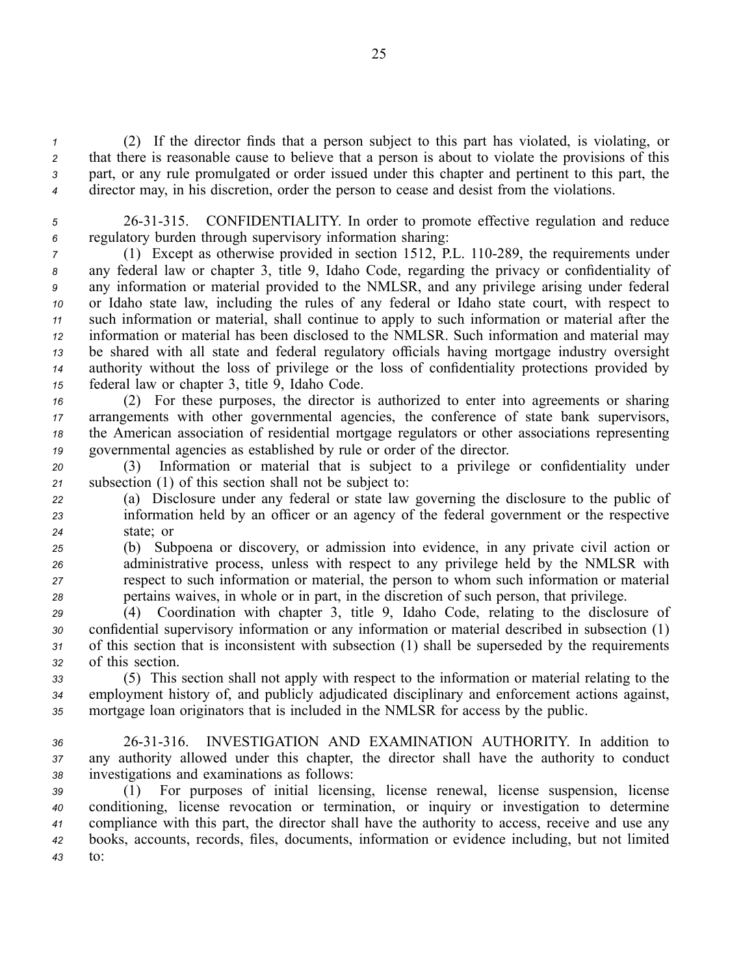(2) If the director finds that <sup>a</sup> person subject to this par<sup>t</sup> has violated, is violating, or that there is reasonable cause to believe that <sup>a</sup> person is about to violate the provisions of this part, or any rule promulgated or order issued under this chapter and pertinent to this part, the director may, in his discretion, order the person to cease and desist from the violations.

*<sup>5</sup>* 2631315. CONFIDENTIALITY. In order to promote effective regulation and reduce *<sup>6</sup>* regulatory burden through supervisory information sharing:

 (1) Except as otherwise provided in section 1512, P.L. 110-289, the requirements under any federal law or chapter 3, title 9, Idaho Code, regarding the privacy or confidentiality of any information or material provided to the NMLSR, and any privilege arising under federal or Idaho state law, including the rules of any federal or Idaho state court, with respec<sup>t</sup> to such information or material, shall continue to apply to such information or material after the information or material has been disclosed to the NMLSR. Such information and material may be shared with all state and federal regulatory officials having mortgage industry oversight authority without the loss of privilege or the loss of confidentiality protections provided by federal law or chapter 3, title 9, Idaho Code.

 (2) For these purposes, the director is authorized to enter into agreements or sharing arrangements with other governmental agencies, the conference of state bank supervisors, the American association of residential mortgage regulators or other associations representing governmental agencies as established by rule or order of the director.

*<sup>20</sup>* (3) Information or material that is subject to <sup>a</sup> privilege or confidentiality under *<sup>21</sup>* subsection (1) of this section shall not be subject to:

*<sup>22</sup>* (a) Disclosure under any federal or state law governing the disclosure to the public of *<sup>23</sup>* information held by an officer or an agency of the federal governmen<sup>t</sup> or the respective *<sup>24</sup>* state; or

 (b) Subpoena or discovery, or admission into evidence, in any private civil action or administrative process, unless with respec<sup>t</sup> to any privilege held by the NMLSR with respec<sup>t</sup> to such information or material, the person to whom such information or material pertains waives, in whole or in part, in the discretion of such person, that privilege.

 (4) Coordination with chapter 3, title 9, Idaho Code, relating to the disclosure of confidential supervisory information or any information or material described in subsection (1) of this section that is inconsistent with subsection (1) shall be superseded by the requirements of this section.

*<sup>33</sup>* (5) This section shall not apply with respec<sup>t</sup> to the information or material relating to the *<sup>34</sup>* employment history of, and publicly adjudicated disciplinary and enforcement actions against, *<sup>35</sup>* mortgage loan originators that is included in the NMLSR for access by the public.

*<sup>36</sup>* 2631316. INVESTIGATION AND EXAMINATION AUTHORITY. In addition to *<sup>37</sup>* any authority allowed under this chapter, the director shall have the authority to conduct *<sup>38</sup>* investigations and examinations as follows:

 (1) For purposes of initial licensing, license renewal, license suspension, license conditioning, license revocation or termination, or inquiry or investigation to determine compliance with this part, the director shall have the authority to access, receive and use any books, accounts, records, files, documents, information or evidence including, but not limited *43* to: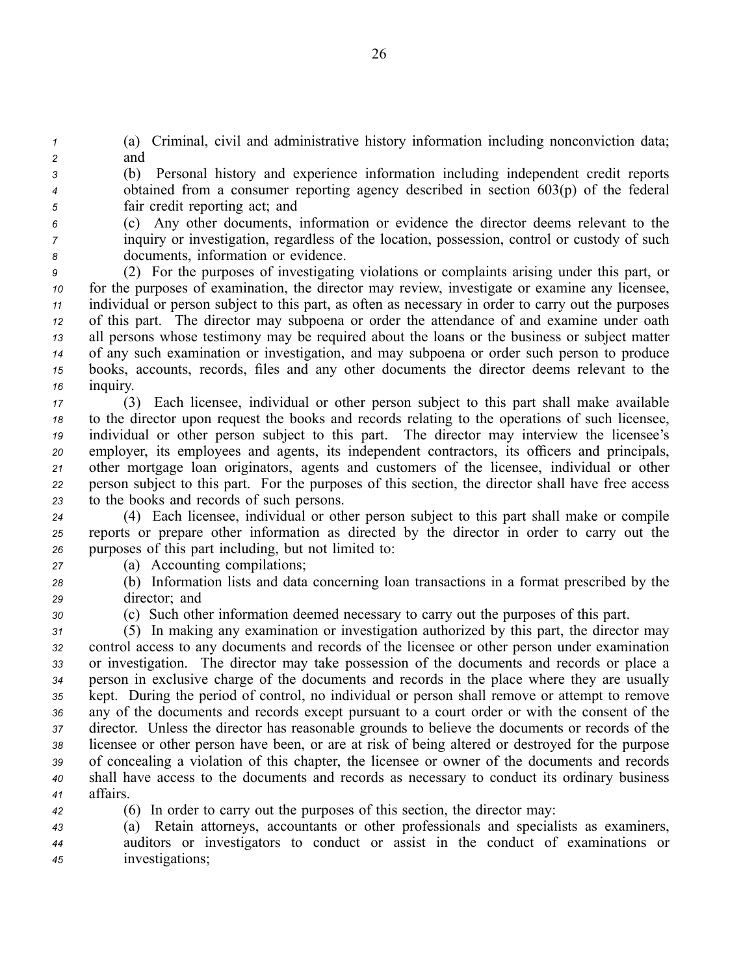*<sup>1</sup>* (a) Criminal, civil and administrative history information including nonconviction data; *<sup>2</sup>* and

*<sup>3</sup>* (b) Personal history and experience information including independent credit reports *<sup>4</sup>* obtained from <sup>a</sup> consumer reporting agency described in section 603(p) of the federal *<sup>5</sup>* fair credit reporting act; and

*<sup>6</sup>* (c) Any other documents, information or evidence the director deems relevant to the *<sup>7</sup>* inquiry or investigation, regardless of the location, possession, control or custody of such *<sup>8</sup>* documents, information or evidence.

 (2) For the purposes of investigating violations or complaints arising under this part, or for the purposes of examination, the director may review, investigate or examine any licensee, individual or person subject to this part, as often as necessary in order to carry out the purposes of this part. The director may subpoena or order the attendance of and examine under oath all persons whose testimony may be required about the loans or the business or subject matter of any such examination or investigation, and may subpoena or order such person to produce books, accounts, records, files and any other documents the director deems relevant to the *<sup>16</sup>* inquiry.

 (3) Each licensee, individual or other person subject to this par<sup>t</sup> shall make available to the director upon reques<sup>t</sup> the books and records relating to the operations of such licensee, individual or other person subject to this part. The director may interview the licensee's employer, its employees and agents, its independent contractors, its officers and principals, other mortgage loan originators, agents and customers of the licensee, individual or other person subject to this part. For the purposes of this section, the director shall have free access to the books and records of such persons.

*<sup>24</sup>* (4) Each licensee, individual or other person subject to this par<sup>t</sup> shall make or compile *<sup>25</sup>* reports or prepare other information as directed by the director in order to carry out the *<sup>26</sup>* purposes of this par<sup>t</sup> including, but not limited to:

- *<sup>27</sup>* (a) Accounting compilations;
- *<sup>28</sup>* (b) Information lists and data concerning loan transactions in <sup>a</sup> format prescribed by the *<sup>29</sup>* director; and
- 

*<sup>30</sup>* (c) Such other information deemed necessary to carry out the purposes of this part.

 (5) In making any examination or investigation authorized by this part, the director may control access to any documents and records of the licensee or other person under examination or investigation. The director may take possession of the documents and records or place <sup>a</sup> person in exclusive charge of the documents and records in the place where they are usually kept. During the period of control, no individual or person shall remove or attempt to remove any of the documents and records excep<sup>t</sup> pursuan<sup>t</sup> to <sup>a</sup> court order or with the consent of the director. Unless the director has reasonable grounds to believe the documents or records of the licensee or other person have been, or are at risk of being altered or destroyed for the purpose of concealing <sup>a</sup> violation of this chapter, the licensee or owner of the documents and records shall have access to the documents and records as necessary to conduct its ordinary business *<sup>41</sup>* affairs.

*<sup>42</sup>* (6) In order to carry out the purposes of this section, the director may:

*<sup>43</sup>* (a) Retain attorneys, accountants or other professionals and specialists as examiners, *<sup>44</sup>* auditors or investigators to conduct or assist in the conduct of examinations or *<sup>45</sup>* investigations;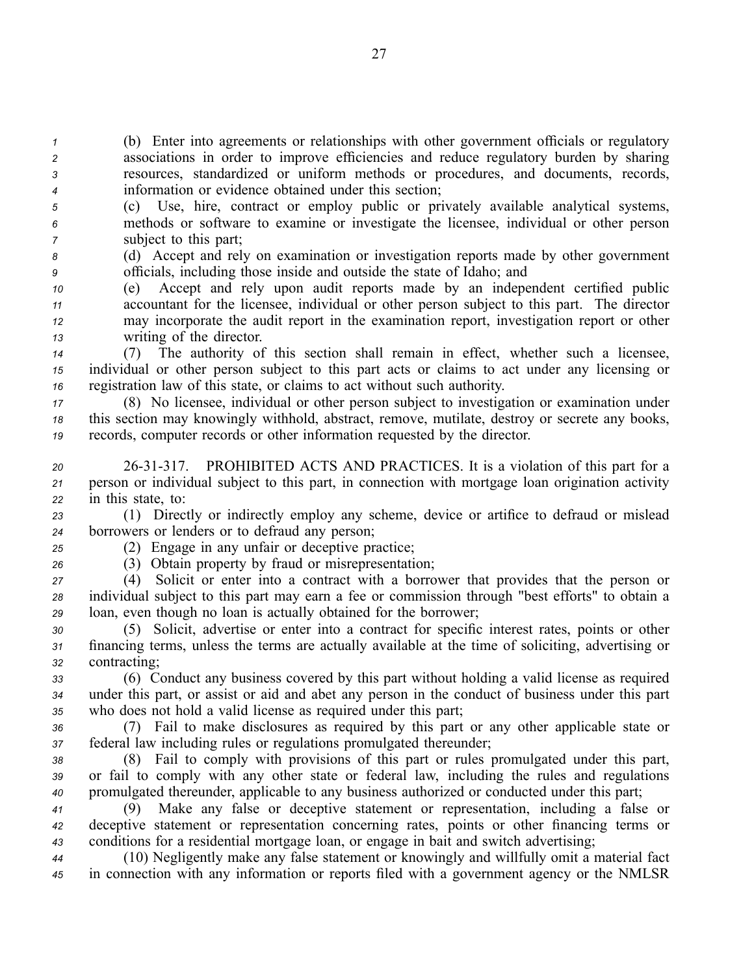(b) Enter into agreements or relationships with other governmen<sup>t</sup> officials or regulatory associations in order to improve efficiencies and reduce regulatory burden by sharing resources, standardized or uniform methods or procedures, and documents, records, information or evidence obtained under this section;

- *<sup>5</sup>* (c) Use, hire, contract or employ public or privately available analytical systems, *<sup>6</sup>* methods or software to examine or investigate the licensee, individual or other person *<sup>7</sup>* subject to this part;
- *<sup>8</sup>* (d) Accept and rely on examination or investigation reports made by other governmen<sup>t</sup> *<sup>9</sup>* officials, including those inside and outside the state of Idaho; and
- *<sup>10</sup>* (e) Accept and rely upon audit reports made by an independent certified public *<sup>11</sup>* accountant for the licensee, individual or other person subject to this part. The director *<sup>12</sup>* may incorporate the audit repor<sup>t</sup> in the examination report, investigation repor<sup>t</sup> or other *<sup>13</sup>* writing of the director.
- *<sup>14</sup>* (7) The authority of this section shall remain in effect, whether such <sup>a</sup> licensee, *<sup>15</sup>* individual or other person subject to this par<sup>t</sup> acts or claims to act under any licensing or *<sup>16</sup>* registration law of this state, or claims to act without such authority.
- *<sup>17</sup>* (8) No licensee, individual or other person subject to investigation or examination under *<sup>18</sup>* this section may knowingly withhold, abstract, remove, mutilate, destroy or secrete any books, *<sup>19</sup>* records, computer records or other information requested by the director.
- *<sup>20</sup>* 2631317. PROHIBITED ACTS AND PRACTICES. It is <sup>a</sup> violation of this par<sup>t</sup> for <sup>a</sup> *<sup>21</sup>* person or individual subject to this part, in connection with mortgage loan origination activity *<sup>22</sup>* in this state, to:
- *<sup>23</sup>* (1) Directly or indirectly employ any scheme, device or artifice to defraud or mislead *<sup>24</sup>* borrowers or lenders or to defraud any person;

- *<sup>25</sup>* (2) Engage in any unfair or deceptive practice;
- *<sup>26</sup>* (3) Obtain property by fraud or misrepresentation;
- *<sup>27</sup>* (4) Solicit or enter into <sup>a</sup> contract with <sup>a</sup> borrower that provides that the person or *<sup>28</sup>* individual subject to this par<sup>t</sup> may earn <sup>a</sup> fee or commission through "best efforts" to obtain <sup>a</sup> *<sup>29</sup>* loan, even though no loan is actually obtained for the borrower;
- *<sup>30</sup>* (5) Solicit, advertise or enter into <sup>a</sup> contract for specific interest rates, points or other *<sup>31</sup>* financing terms, unless the terms are actually available at the time of soliciting, advertising or *<sup>32</sup>* contracting;
- *<sup>33</sup>* (6) Conduct any business covered by this par<sup>t</sup> without holding <sup>a</sup> valid license as required *<sup>34</sup>* under this part, or assist or aid and abet any person in the conduct of business under this par<sup>t</sup> *<sup>35</sup>* who does not hold <sup>a</sup> valid license as required under this part;
- *<sup>36</sup>* (7) Fail to make disclosures as required by this par<sup>t</sup> or any other applicable state or *<sup>37</sup>* federal law including rules or regulations promulgated thereunder;
- *<sup>38</sup>* (8) Fail to comply with provisions of this par<sup>t</sup> or rules promulgated under this part, *<sup>39</sup>* or fail to comply with any other state or federal law, including the rules and regulations *<sup>40</sup>* promulgated thereunder, applicable to any business authorized or conducted under this part;
- *<sup>41</sup>* (9) Make any false or deceptive statement or representation, including <sup>a</sup> false or *<sup>42</sup>* deceptive statement or representation concerning rates, points or other financing terms or *<sup>43</sup>* conditions for <sup>a</sup> residential mortgage loan, or engage in bait and switch advertising;
- *<sup>44</sup>* (10) Negligently make any false statement or knowingly and willfully omit <sup>a</sup> material fact *<sup>45</sup>* in connection with any information or reports filed with <sup>a</sup> governmen<sup>t</sup> agency or the NMLSR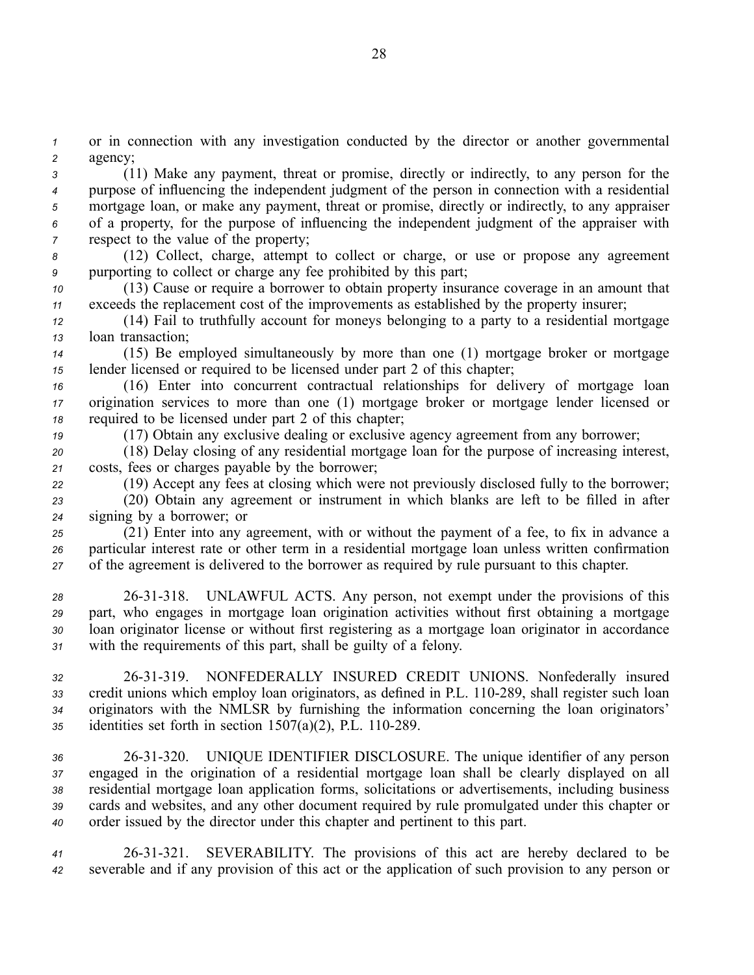*<sup>1</sup>* or in connection with any investigation conducted by the director or another governmental *<sup>2</sup>* agency;

 (11) Make any payment, threat or promise, directly or indirectly, to any person for the purpose of influencing the independent judgment of the person in connection with <sup>a</sup> residential mortgage loan, or make any payment, threat or promise, directly or indirectly, to any appraiser of <sup>a</sup> property, for the purpose of influencing the independent judgment of the appraiser with *z* respect to the value of the property;

*<sup>8</sup>* (12) Collect, charge, attempt to collect or charge, or use or propose any agreemen<sup>t</sup> *<sup>9</sup>* purporting to collect or charge any fee prohibited by this part;

*<sup>10</sup>* (13) Cause or require <sup>a</sup> borrower to obtain property insurance coverage in an amount that *<sup>11</sup>* exceeds the replacement cost of the improvements as established by the property insurer;

*<sup>12</sup>* (14) Fail to truthfully account for moneys belonging to <sup>a</sup> party to <sup>a</sup> residential mortgage *<sup>13</sup>* loan transaction;

*<sup>14</sup>* (15) Be employed simultaneously by more than one (1) mortgage broker or mortgage *<sup>15</sup>* lender licensed or required to be licensed under par<sup>t</sup> 2 of this chapter;

*<sup>16</sup>* (16) Enter into concurrent contractual relationships for delivery of mortgage loan *<sup>17</sup>* origination services to more than one (1) mortgage broker or mortgage lender licensed or *<sup>18</sup>* required to be licensed under par<sup>t</sup> 2 of this chapter;

*<sup>19</sup>* (17) Obtain any exclusive dealing or exclusive agency agreemen<sup>t</sup> from any borrower;

*<sup>20</sup>* (18) Delay closing of any residential mortgage loan for the purpose of increasing interest, *<sup>21</sup>* costs, fees or charges payable by the borrower;

*<sup>22</sup>* (19) Accept any fees at closing which were not previously disclosed fully to the borrower; *<sup>23</sup>* (20) Obtain any agreemen<sup>t</sup> or instrument in which blanks are left to be filled in after

*<sup>24</sup>* signing by <sup>a</sup> borrower; or *<sup>25</sup>* (21) Enter into any agreement, with or without the paymen<sup>t</sup> of <sup>a</sup> fee, to fix in advance <sup>a</sup> *<sup>26</sup>* particular interest rate or other term in <sup>a</sup> residential mortgage loan unless written confirmation

*<sup>27</sup>* of the agreemen<sup>t</sup> is delivered to the borrower as required by rule pursuan<sup>t</sup> to this chapter.

 2631318. UNLAWFUL ACTS. Any person, not exemp<sup>t</sup> under the provisions of this part, who engages in mortgage loan origination activities without first obtaining <sup>a</sup> mortgage loan originator license or without first registering as <sup>a</sup> mortgage loan originator in accordance with the requirements of this part, shall be guilty of <sup>a</sup> felony.

 2631319. NONFEDERALLY INSURED CREDIT UNIONS. Nonfederally insured 33 credit unions which employ loan originators, as defined in P.L. 110-289, shall register such loan originators with the NMLSR by furnishing the information concerning the loan originators' identities set forth in section  $1507(a)(2)$ , P.L.  $110-289$ .

 2631320. UNIQUE IDENTIFIER DISCLOSURE. The unique identifier of any person engaged in the origination of <sup>a</sup> residential mortgage loan shall be clearly displayed on all residential mortgage loan application forms, solicitations or advertisements, including business cards and websites, and any other document required by rule promulgated under this chapter or order issued by the director under this chapter and pertinent to this part.

*<sup>41</sup>* 2631321. SEVERABILITY. The provisions of this act are hereby declared to be *<sup>42</sup>* severable and if any provision of this act or the application of such provision to any person or